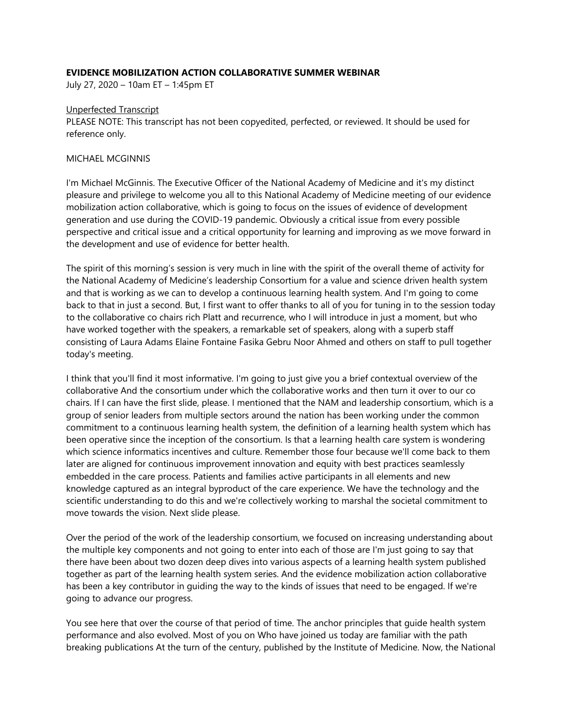# **EVIDENCE MOBILIZATION ACTION COLLABORATIVE SUMMER WEBINAR**

July 27, 2020 – 10am ET – 1:45pm ET

## Unperfected Transcript

PLEASE NOTE: This transcript has not been copyedited, perfected, or reviewed. It should be used for reference only.

## MICHAEL MCGINNIS

I'm Michael McGinnis. The Executive Officer of the National Academy of Medicine and it's my distinct pleasure and privilege to welcome you all to this National Academy of Medicine meeting of our evidence mobilization action collaborative, which is going to focus on the issues of evidence of development generation and use during the COVID-19 pandemic. Obviously a critical issue from every possible perspective and critical issue and a critical opportunity for learning and improving as we move forward in the development and use of evidence for better health.

The spirit of this morning's session is very much in line with the spirit of the overall theme of activity for the National Academy of Medicine's leadership Consortium for a value and science driven health system and that is working as we can to develop a continuous learning health system. And I'm going to come back to that in just a second. But, I first want to offer thanks to all of you for tuning in to the session today to the collaborative co chairs rich Platt and recurrence, who I will introduce in just a moment, but who have worked together with the speakers, a remarkable set of speakers, along with a superb staff consisting of Laura Adams Elaine Fontaine Fasika Gebru Noor Ahmed and others on staff to pull together today's meeting.

I think that you'll find it most informative. I'm going to just give you a brief contextual overview of the collaborative And the consortium under which the collaborative works and then turn it over to our co chairs. If I can have the first slide, please. I mentioned that the NAM and leadership consortium, which is a group of senior leaders from multiple sectors around the nation has been working under the common commitment to a continuous learning health system, the definition of a learning health system which has been operative since the inception of the consortium. Is that a learning health care system is wondering which science informatics incentives and culture. Remember those four because we'll come back to them later are aligned for continuous improvement innovation and equity with best practices seamlessly embedded in the care process. Patients and families active participants in all elements and new knowledge captured as an integral byproduct of the care experience. We have the technology and the scientific understanding to do this and we're collectively working to marshal the societal commitment to move towards the vision. Next slide please.

Over the period of the work of the leadership consortium, we focused on increasing understanding about the multiple key components and not going to enter into each of those are I'm just going to say that there have been about two dozen deep dives into various aspects of a learning health system published together as part of the learning health system series. And the evidence mobilization action collaborative has been a key contributor in guiding the way to the kinds of issues that need to be engaged. If we're going to advance our progress.

You see here that over the course of that period of time. The anchor principles that guide health system performance and also evolved. Most of you on Who have joined us today are familiar with the path breaking publications At the turn of the century, published by the Institute of Medicine. Now, the National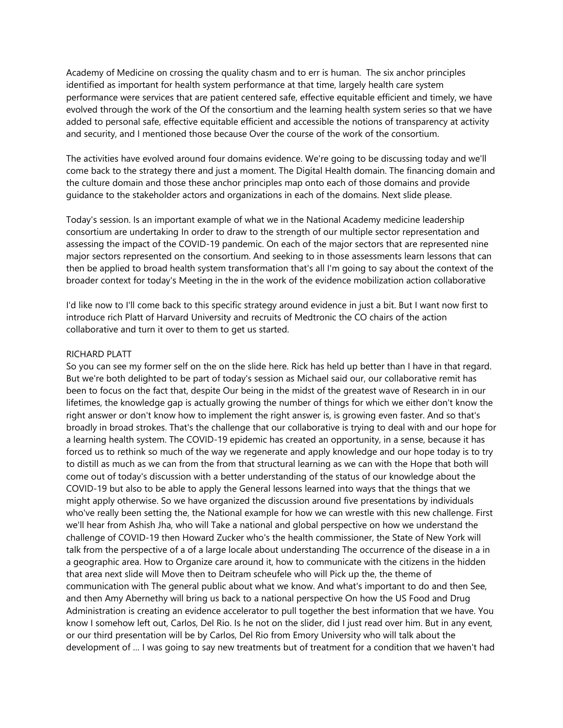Academy of Medicine on crossing the quality chasm and to err is human. The six anchor principles identified as important for health system performance at that time, largely health care system performance were services that are patient centered safe, effective equitable efficient and timely, we have evolved through the work of the Of the consortium and the learning health system series so that we have added to personal safe, effective equitable efficient and accessible the notions of transparency at activity and security, and I mentioned those because Over the course of the work of the consortium.

The activities have evolved around four domains evidence. We're going to be discussing today and we'll come back to the strategy there and just a moment. The Digital Health domain. The financing domain and the culture domain and those these anchor principles map onto each of those domains and provide guidance to the stakeholder actors and organizations in each of the domains. Next slide please.

Today's session. Is an important example of what we in the National Academy medicine leadership consortium are undertaking In order to draw to the strength of our multiple sector representation and assessing the impact of the COVID-19 pandemic. On each of the major sectors that are represented nine major sectors represented on the consortium. And seeking to in those assessments learn lessons that can then be applied to broad health system transformation that's all I'm going to say about the context of the broader context for today's Meeting in the in the work of the evidence mobilization action collaborative

I'd like now to I'll come back to this specific strategy around evidence in just a bit. But I want now first to introduce rich Platt of Harvard University and recruits of Medtronic the CO chairs of the action collaborative and turn it over to them to get us started.

#### RICHARD PLATT

So you can see my former self on the on the slide here. Rick has held up better than I have in that regard. But we're both delighted to be part of today's session as Michael said our, our collaborative remit has been to focus on the fact that, despite Our being in the midst of the greatest wave of Research in in our lifetimes, the knowledge gap is actually growing the number of things for which we either don't know the right answer or don't know how to implement the right answer is, is growing even faster. And so that's broadly in broad strokes. That's the challenge that our collaborative is trying to deal with and our hope for a learning health system. The COVID-19 epidemic has created an opportunity, in a sense, because it has forced us to rethink so much of the way we regenerate and apply knowledge and our hope today is to try to distill as much as we can from the from that structural learning as we can with the Hope that both will come out of today's discussion with a better understanding of the status of our knowledge about the COVID-19 but also to be able to apply the General lessons learned into ways that the things that we might apply otherwise. So we have organized the discussion around five presentations by individuals who've really been setting the, the National example for how we can wrestle with this new challenge. First we'll hear from Ashish Jha, who will Take a national and global perspective on how we understand the challenge of COVID-19 then Howard Zucker who's the health commissioner, the State of New York will talk from the perspective of a of a large locale about understanding The occurrence of the disease in a in a geographic area. How to Organize care around it, how to communicate with the citizens in the hidden that area next slide will Move then to Deitram scheufele who will Pick up the, the theme of communication with The general public about what we know. And what's important to do and then See, and then Amy Abernethy will bring us back to a national perspective On how the US Food and Drug Administration is creating an evidence accelerator to pull together the best information that we have. You know I somehow left out, Carlos, Del Rio. Is he not on the slider, did I just read over him. But in any event, or our third presentation will be by Carlos, Del Rio from Emory University who will talk about the development of … I was going to say new treatments but of treatment for a condition that we haven't had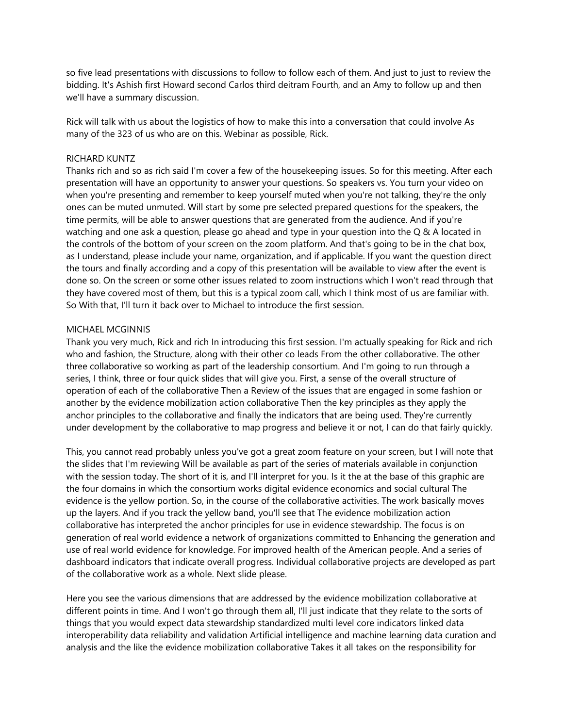so five lead presentations with discussions to follow to follow each of them. And just to just to review the bidding. It's Ashish first Howard second Carlos third deitram Fourth, and an Amy to follow up and then we'll have a summary discussion.

Rick will talk with us about the logistics of how to make this into a conversation that could involve As many of the 323 of us who are on this. Webinar as possible, Rick.

#### RICHARD KUNTZ

Thanks rich and so as rich said I'm cover a few of the housekeeping issues. So for this meeting. After each presentation will have an opportunity to answer your questions. So speakers vs. You turn your video on when you're presenting and remember to keep yourself muted when you're not talking, they're the only ones can be muted unmuted. Will start by some pre selected prepared questions for the speakers, the time permits, will be able to answer questions that are generated from the audience. And if you're watching and one ask a question, please go ahead and type in your question into the Q & A located in the controls of the bottom of your screen on the zoom platform. And that's going to be in the chat box, as I understand, please include your name, organization, and if applicable. If you want the question direct the tours and finally according and a copy of this presentation will be available to view after the event is done so. On the screen or some other issues related to zoom instructions which I won't read through that they have covered most of them, but this is a typical zoom call, which I think most of us are familiar with. So With that, I'll turn it back over to Michael to introduce the first session.

#### MICHAEL MCGINNIS

Thank you very much, Rick and rich In introducing this first session. I'm actually speaking for Rick and rich who and fashion, the Structure, along with their other co leads From the other collaborative. The other three collaborative so working as part of the leadership consortium. And I'm going to run through a series, I think, three or four quick slides that will give you. First, a sense of the overall structure of operation of each of the collaborative Then a Review of the issues that are engaged in some fashion or another by the evidence mobilization action collaborative Then the key principles as they apply the anchor principles to the collaborative and finally the indicators that are being used. They're currently under development by the collaborative to map progress and believe it or not, I can do that fairly quickly.

This, you cannot read probably unless you've got a great zoom feature on your screen, but I will note that the slides that I'm reviewing Will be available as part of the series of materials available in conjunction with the session today. The short of it is, and I'll interpret for you. Is it the at the base of this graphic are the four domains in which the consortium works digital evidence economics and social cultural The evidence is the yellow portion. So, in the course of the collaborative activities. The work basically moves up the layers. And if you track the yellow band, you'll see that The evidence mobilization action collaborative has interpreted the anchor principles for use in evidence stewardship. The focus is on generation of real world evidence a network of organizations committed to Enhancing the generation and use of real world evidence for knowledge. For improved health of the American people. And a series of dashboard indicators that indicate overall progress. Individual collaborative projects are developed as part of the collaborative work as a whole. Next slide please.

Here you see the various dimensions that are addressed by the evidence mobilization collaborative at different points in time. And I won't go through them all, I'll just indicate that they relate to the sorts of things that you would expect data stewardship standardized multi level core indicators linked data interoperability data reliability and validation Artificial intelligence and machine learning data curation and analysis and the like the evidence mobilization collaborative Takes it all takes on the responsibility for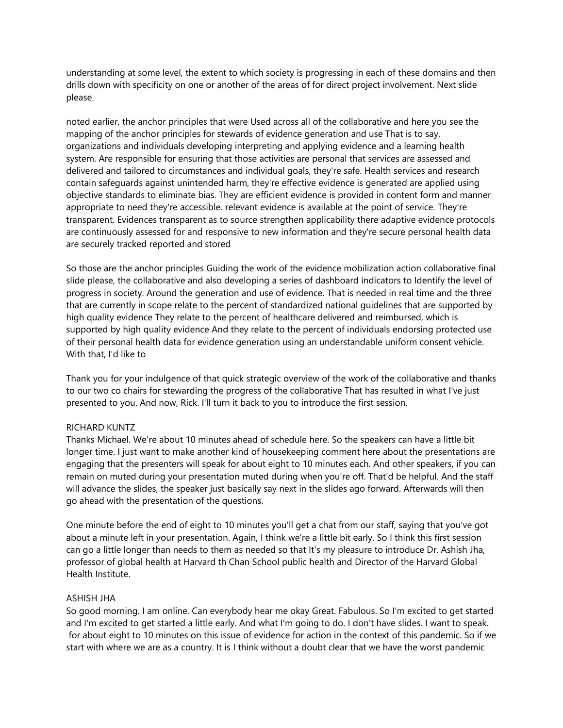understanding at some level, the extent to which society is progressing in each of these domains and then drills down with specificity on one or another of the areas of for direct project involvement. Next slide please.

noted earlier, the anchor principles that were Used across all of the collaborative and here you see the mapping of the anchor principles for stewards of evidence generation and use That is to say, organizations and individuals developing interpreting and applying evidence and a learning health system. Are responsible for ensuring that those activities are personal that services are assessed and delivered and tailored to circumstances and individual goals, they're safe. Health services and research contain safeguards against unintended harm, they're effective evidence is generated are applied using objective standards to eliminate bias. They are efficient evidence is provided in content form and manner appropriate to need they're accessible. relevant evidence is available at the point of service. They're transparent. Evidences transparent as to source strengthen applicability there adaptive evidence protocols are continuously assessed for and responsive to new information and they're secure personal health data are securely tracked reported and stored

So those are the anchor principles Guiding the work of the evidence mobilization action collaborative final slide please, the collaborative and also developing a series of dashboard indicators to Identify the level of progress in society. Around the generation and use of evidence. That is needed in real time and the three that are currently in scope relate to the percent of standardized national guidelines that are supported by high quality evidence They relate to the percent of healthcare delivered and reimbursed, which is supported by high quality evidence And they relate to the percent of individuals endorsing protected use of their personal health data for evidence generation using an understandable uniform consent vehicle. With that, I'd like to

Thank you for your indulgence of that quick strategic overview of the work of the collaborative and thanks to our two co chairs for stewarding the progress of the collaborative That has resulted in what I've just presented to you. And now, Rick. I'll turn it back to you to introduce the first session.

# RICHARD KUNTZ

Thanks Michael. We're about 10 minutes ahead of schedule here. So the speakers can have a little bit longer time. I just want to make another kind of housekeeping comment here about the presentations are engaging that the presenters will speak for about eight to 10 minutes each. And other speakers, if you can remain on muted during your presentation muted during when you're off. That'd be helpful. And the staff will advance the slides, the speaker just basically say next in the slides ago forward. Afterwards will then go ahead with the presentation of the questions.

One minute before the end of eight to 10 minutes you'll get a chat from our staff, saying that you've got about a minute left in your presentation. Again, I think we're a little bit early. So I think this first session can go a little longer than needs to them as needed so that It's my pleasure to introduce Dr. Ashish Jha, professor of global health at Harvard th Chan School public health and Director of the Harvard Global Health Institute.

# ASHISH JHA

So good morning. I am online. Can everybody hear me okay Great. Fabulous. So I'm excited to get started and I'm excited to get started a little early. And what I'm going to do. I don't have slides. I want to speak. for about eight to 10 minutes on this issue of evidence for action in the context of this pandemic. So if we start with where we are as a country. It is I think without a doubt clear that we have the worst pandemic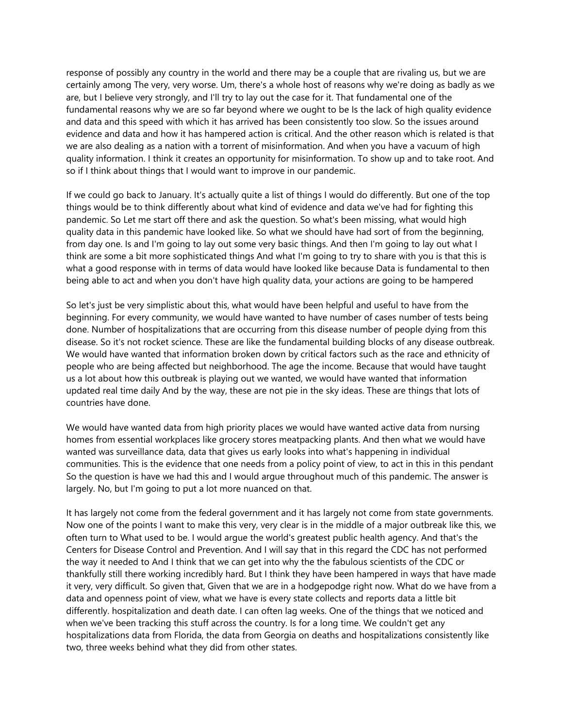response of possibly any country in the world and there may be a couple that are rivaling us, but we are certainly among The very, very worse. Um, there's a whole host of reasons why we're doing as badly as we are, but I believe very strongly, and I'll try to lay out the case for it. That fundamental one of the fundamental reasons why we are so far beyond where we ought to be Is the lack of high quality evidence and data and this speed with which it has arrived has been consistently too slow. So the issues around evidence and data and how it has hampered action is critical. And the other reason which is related is that we are also dealing as a nation with a torrent of misinformation. And when you have a vacuum of high quality information. I think it creates an opportunity for misinformation. To show up and to take root. And so if I think about things that I would want to improve in our pandemic.

If we could go back to January. It's actually quite a list of things I would do differently. But one of the top things would be to think differently about what kind of evidence and data we've had for fighting this pandemic. So Let me start off there and ask the question. So what's been missing, what would high quality data in this pandemic have looked like. So what we should have had sort of from the beginning, from day one. Is and I'm going to lay out some very basic things. And then I'm going to lay out what I think are some a bit more sophisticated things And what I'm going to try to share with you is that this is what a good response with in terms of data would have looked like because Data is fundamental to then being able to act and when you don't have high quality data, your actions are going to be hampered

So let's just be very simplistic about this, what would have been helpful and useful to have from the beginning. For every community, we would have wanted to have number of cases number of tests being done. Number of hospitalizations that are occurring from this disease number of people dying from this disease. So it's not rocket science. These are like the fundamental building blocks of any disease outbreak. We would have wanted that information broken down by critical factors such as the race and ethnicity of people who are being affected but neighborhood. The age the income. Because that would have taught us a lot about how this outbreak is playing out we wanted, we would have wanted that information updated real time daily And by the way, these are not pie in the sky ideas. These are things that lots of countries have done.

We would have wanted data from high priority places we would have wanted active data from nursing homes from essential workplaces like grocery stores meatpacking plants. And then what we would have wanted was surveillance data, data that gives us early looks into what's happening in individual communities. This is the evidence that one needs from a policy point of view, to act in this in this pendant So the question is have we had this and I would argue throughout much of this pandemic. The answer is largely. No, but I'm going to put a lot more nuanced on that.

It has largely not come from the federal government and it has largely not come from state governments. Now one of the points I want to make this very, very clear is in the middle of a major outbreak like this, we often turn to What used to be. I would argue the world's greatest public health agency. And that's the Centers for Disease Control and Prevention. And I will say that in this regard the CDC has not performed the way it needed to And I think that we can get into why the the fabulous scientists of the CDC or thankfully still there working incredibly hard. But I think they have been hampered in ways that have made it very, very difficult. So given that, Given that we are in a hodgepodge right now. What do we have from a data and openness point of view, what we have is every state collects and reports data a little bit differently. hospitalization and death date. I can often lag weeks. One of the things that we noticed and when we've been tracking this stuff across the country. Is for a long time. We couldn't get any hospitalizations data from Florida, the data from Georgia on deaths and hospitalizations consistently like two, three weeks behind what they did from other states.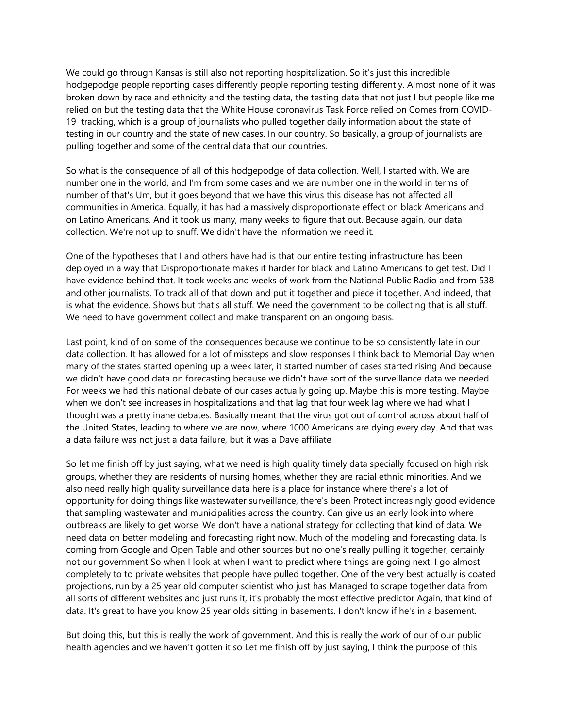We could go through Kansas is still also not reporting hospitalization. So it's just this incredible hodgepodge people reporting cases differently people reporting testing differently. Almost none of it was broken down by race and ethnicity and the testing data, the testing data that not just I but people like me relied on but the testing data that the White House coronavirus Task Force relied on Comes from COVID-19 tracking, which is a group of journalists who pulled together daily information about the state of testing in our country and the state of new cases. In our country. So basically, a group of journalists are pulling together and some of the central data that our countries.

So what is the consequence of all of this hodgepodge of data collection. Well, I started with. We are number one in the world, and I'm from some cases and we are number one in the world in terms of number of that's Um, but it goes beyond that we have this virus this disease has not affected all communities in America. Equally, it has had a massively disproportionate effect on black Americans and on Latino Americans. And it took us many, many weeks to figure that out. Because again, our data collection. We're not up to snuff. We didn't have the information we need it.

One of the hypotheses that I and others have had is that our entire testing infrastructure has been deployed in a way that Disproportionate makes it harder for black and Latino Americans to get test. Did I have evidence behind that. It took weeks and weeks of work from the National Public Radio and from 538 and other journalists. To track all of that down and put it together and piece it together. And indeed, that is what the evidence. Shows but that's all stuff. We need the government to be collecting that is all stuff. We need to have government collect and make transparent on an ongoing basis.

Last point, kind of on some of the consequences because we continue to be so consistently late in our data collection. It has allowed for a lot of missteps and slow responses I think back to Memorial Day when many of the states started opening up a week later, it started number of cases started rising And because we didn't have good data on forecasting because we didn't have sort of the surveillance data we needed For weeks we had this national debate of our cases actually going up. Maybe this is more testing. Maybe when we don't see increases in hospitalizations and that lag that four week lag where we had what I thought was a pretty inane debates. Basically meant that the virus got out of control across about half of the United States, leading to where we are now, where 1000 Americans are dying every day. And that was a data failure was not just a data failure, but it was a Dave affiliate

So let me finish off by just saying, what we need is high quality timely data specially focused on high risk groups, whether they are residents of nursing homes, whether they are racial ethnic minorities. And we also need really high quality surveillance data here is a place for instance where there's a lot of opportunity for doing things like wastewater surveillance, there's been Protect increasingly good evidence that sampling wastewater and municipalities across the country. Can give us an early look into where outbreaks are likely to get worse. We don't have a national strategy for collecting that kind of data. We need data on better modeling and forecasting right now. Much of the modeling and forecasting data. Is coming from Google and Open Table and other sources but no one's really pulling it together, certainly not our government So when I look at when I want to predict where things are going next. I go almost completely to to private websites that people have pulled together. One of the very best actually is coated projections, run by a 25 year old computer scientist who just has Managed to scrape together data from all sorts of different websites and just runs it, it's probably the most effective predictor Again, that kind of data. It's great to have you know 25 year olds sitting in basements. I don't know if he's in a basement.

But doing this, but this is really the work of government. And this is really the work of our of our public health agencies and we haven't gotten it so Let me finish off by just saying, I think the purpose of this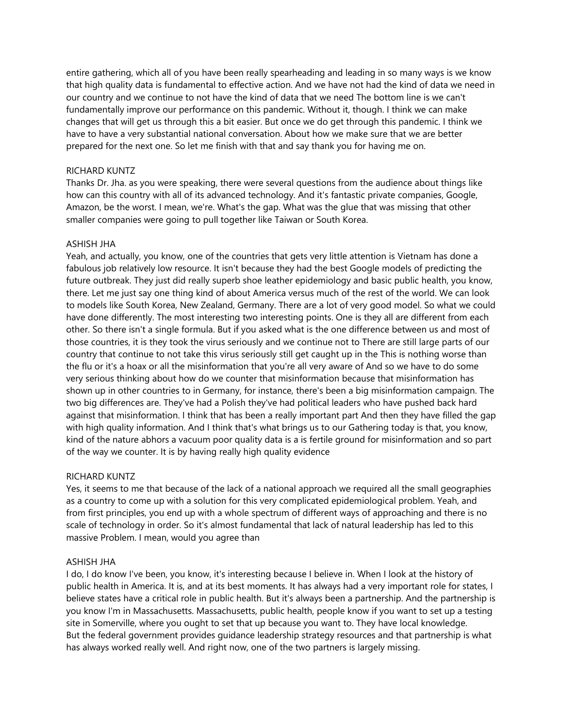entire gathering, which all of you have been really spearheading and leading in so many ways is we know that high quality data is fundamental to effective action. And we have not had the kind of data we need in our country and we continue to not have the kind of data that we need The bottom line is we can't fundamentally improve our performance on this pandemic. Without it, though. I think we can make changes that will get us through this a bit easier. But once we do get through this pandemic. I think we have to have a very substantial national conversation. About how we make sure that we are better prepared for the next one. So let me finish with that and say thank you for having me on.

### RICHARD KUNTZ

Thanks Dr. Jha. as you were speaking, there were several questions from the audience about things like how can this country with all of its advanced technology. And it's fantastic private companies, Google, Amazon, be the worst. I mean, we're. What's the gap. What was the glue that was missing that other smaller companies were going to pull together like Taiwan or South Korea.

## ASHISH JHA

Yeah, and actually, you know, one of the countries that gets very little attention is Vietnam has done a fabulous job relatively low resource. It isn't because they had the best Google models of predicting the future outbreak. They just did really superb shoe leather epidemiology and basic public health, you know, there. Let me just say one thing kind of about America versus much of the rest of the world. We can look to models like South Korea, New Zealand, Germany. There are a lot of very good model. So what we could have done differently. The most interesting two interesting points. One is they all are different from each other. So there isn't a single formula. But if you asked what is the one difference between us and most of those countries, it is they took the virus seriously and we continue not to There are still large parts of our country that continue to not take this virus seriously still get caught up in the This is nothing worse than the flu or it's a hoax or all the misinformation that you're all very aware of And so we have to do some very serious thinking about how do we counter that misinformation because that misinformation has shown up in other countries to in Germany, for instance, there's been a big misinformation campaign. The two big differences are. They've had a Polish they've had political leaders who have pushed back hard against that misinformation. I think that has been a really important part And then they have filled the gap with high quality information. And I think that's what brings us to our Gathering today is that, you know, kind of the nature abhors a vacuum poor quality data is a is fertile ground for misinformation and so part of the way we counter. It is by having really high quality evidence

### RICHARD KUNTZ

Yes, it seems to me that because of the lack of a national approach we required all the small geographies as a country to come up with a solution for this very complicated epidemiological problem. Yeah, and from first principles, you end up with a whole spectrum of different ways of approaching and there is no scale of technology in order. So it's almost fundamental that lack of natural leadership has led to this massive Problem. I mean, would you agree than

# ASHISH JHA

I do, I do know I've been, you know, it's interesting because I believe in. When I look at the history of public health in America. It is, and at its best moments. It has always had a very important role for states, I believe states have a critical role in public health. But it's always been a partnership. And the partnership is you know I'm in Massachusetts. Massachusetts, public health, people know if you want to set up a testing site in Somerville, where you ought to set that up because you want to. They have local knowledge. But the federal government provides guidance leadership strategy resources and that partnership is what has always worked really well. And right now, one of the two partners is largely missing.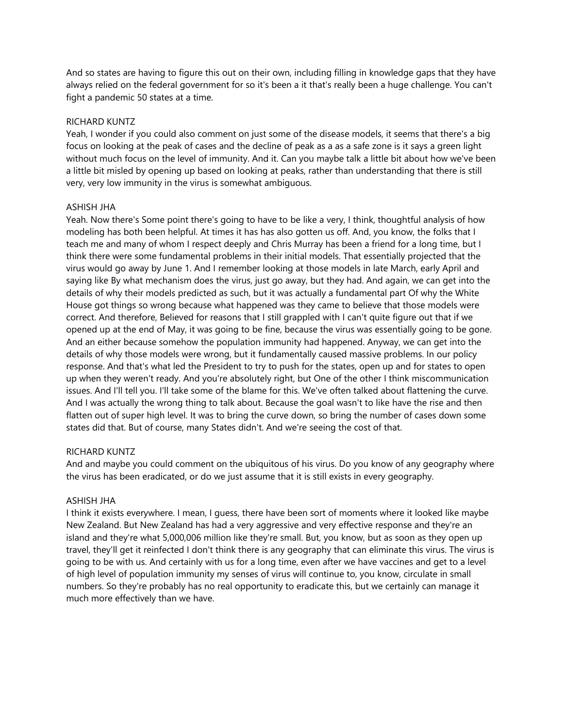And so states are having to figure this out on their own, including filling in knowledge gaps that they have always relied on the federal government for so it's been a it that's really been a huge challenge. You can't fight a pandemic 50 states at a time.

## RICHARD KUNTZ

Yeah, I wonder if you could also comment on just some of the disease models, it seems that there's a big focus on looking at the peak of cases and the decline of peak as a as a safe zone is it says a green light without much focus on the level of immunity. And it. Can you maybe talk a little bit about how we've been a little bit misled by opening up based on looking at peaks, rather than understanding that there is still very, very low immunity in the virus is somewhat ambiguous.

## ASHISH JHA

Yeah. Now there's Some point there's going to have to be like a very, I think, thoughtful analysis of how modeling has both been helpful. At times it has has also gotten us off. And, you know, the folks that I teach me and many of whom I respect deeply and Chris Murray has been a friend for a long time, but I think there were some fundamental problems in their initial models. That essentially projected that the virus would go away by June 1. And I remember looking at those models in late March, early April and saying like By what mechanism does the virus, just go away, but they had. And again, we can get into the details of why their models predicted as such, but it was actually a fundamental part Of why the White House got things so wrong because what happened was they came to believe that those models were correct. And therefore, Believed for reasons that I still grappled with I can't quite figure out that if we opened up at the end of May, it was going to be fine, because the virus was essentially going to be gone. And an either because somehow the population immunity had happened. Anyway, we can get into the details of why those models were wrong, but it fundamentally caused massive problems. In our policy response. And that's what led the President to try to push for the states, open up and for states to open up when they weren't ready. And you're absolutely right, but One of the other I think miscommunication issues. And I'll tell you. I'll take some of the blame for this. We've often talked about flattening the curve. And I was actually the wrong thing to talk about. Because the goal wasn't to like have the rise and then flatten out of super high level. It was to bring the curve down, so bring the number of cases down some states did that. But of course, many States didn't. And we're seeing the cost of that.

# RICHARD KUNTZ

And and maybe you could comment on the ubiquitous of his virus. Do you know of any geography where the virus has been eradicated, or do we just assume that it is still exists in every geography.

# ASHISH JHA

I think it exists everywhere. I mean, I guess, there have been sort of moments where it looked like maybe New Zealand. But New Zealand has had a very aggressive and very effective response and they're an island and they're what 5,000,006 million like they're small. But, you know, but as soon as they open up travel, they'll get it reinfected I don't think there is any geography that can eliminate this virus. The virus is going to be with us. And certainly with us for a long time, even after we have vaccines and get to a level of high level of population immunity my senses of virus will continue to, you know, circulate in small numbers. So they're probably has no real opportunity to eradicate this, but we certainly can manage it much more effectively than we have.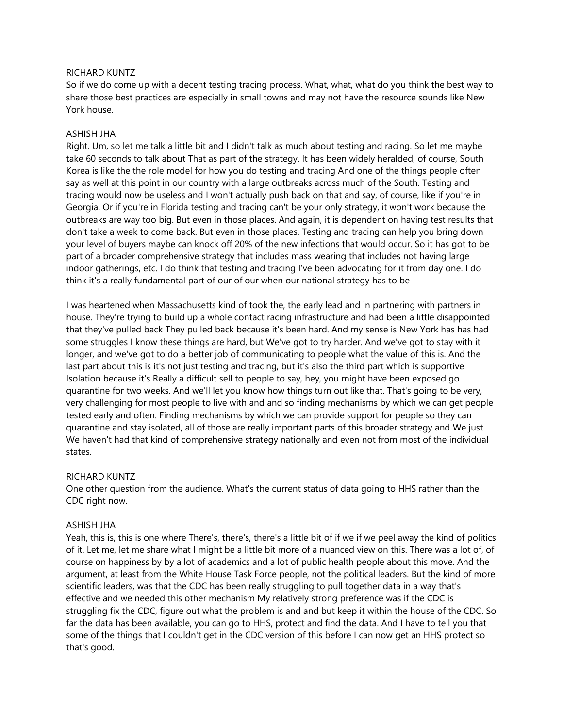### RICHARD KUNTZ

So if we do come up with a decent testing tracing process. What, what, what do you think the best way to share those best practices are especially in small towns and may not have the resource sounds like New York house.

### ASHISH JHA

Right. Um, so let me talk a little bit and I didn't talk as much about testing and racing. So let me maybe take 60 seconds to talk about That as part of the strategy. It has been widely heralded, of course, South Korea is like the the role model for how you do testing and tracing And one of the things people often say as well at this point in our country with a large outbreaks across much of the South. Testing and tracing would now be useless and I won't actually push back on that and say, of course, like if you're in Georgia. Or if you're in Florida testing and tracing can't be your only strategy, it won't work because the outbreaks are way too big. But even in those places. And again, it is dependent on having test results that don't take a week to come back. But even in those places. Testing and tracing can help you bring down your level of buyers maybe can knock off 20% of the new infections that would occur. So it has got to be part of a broader comprehensive strategy that includes mass wearing that includes not having large indoor gatherings, etc. I do think that testing and tracing I've been advocating for it from day one. I do think it's a really fundamental part of our of our when our national strategy has to be

I was heartened when Massachusetts kind of took the, the early lead and in partnering with partners in house. They're trying to build up a whole contact racing infrastructure and had been a little disappointed that they've pulled back They pulled back because it's been hard. And my sense is New York has has had some struggles I know these things are hard, but We've got to try harder. And we've got to stay with it longer, and we've got to do a better job of communicating to people what the value of this is. And the last part about this is it's not just testing and tracing, but it's also the third part which is supportive Isolation because it's Really a difficult sell to people to say, hey, you might have been exposed go quarantine for two weeks. And we'll let you know how things turn out like that. That's going to be very, very challenging for most people to live with and and so finding mechanisms by which we can get people tested early and often. Finding mechanisms by which we can provide support for people so they can quarantine and stay isolated, all of those are really important parts of this broader strategy and We just We haven't had that kind of comprehensive strategy nationally and even not from most of the individual states.

## RICHARD KUNTZ

One other question from the audience. What's the current status of data going to HHS rather than the CDC right now.

## ASHISH JHA

Yeah, this is, this is one where There's, there's, there's a little bit of if we if we peel away the kind of politics of it. Let me, let me share what I might be a little bit more of a nuanced view on this. There was a lot of, of course on happiness by by a lot of academics and a lot of public health people about this move. And the argument, at least from the White House Task Force people, not the political leaders. But the kind of more scientific leaders, was that the CDC has been really struggling to pull together data in a way that's effective and we needed this other mechanism My relatively strong preference was if the CDC is struggling fix the CDC, figure out what the problem is and and but keep it within the house of the CDC. So far the data has been available, you can go to HHS, protect and find the data. And I have to tell you that some of the things that I couldn't get in the CDC version of this before I can now get an HHS protect so that's good.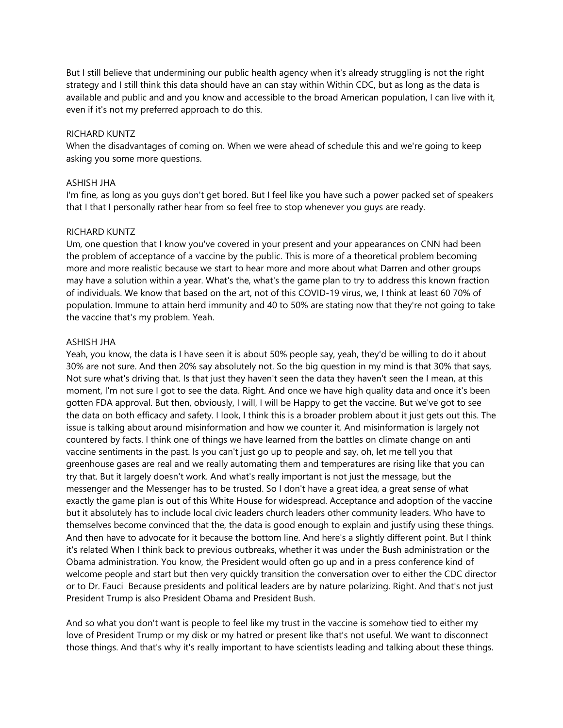But I still believe that undermining our public health agency when it's already struggling is not the right strategy and I still think this data should have an can stay within Within CDC, but as long as the data is available and public and and you know and accessible to the broad American population, I can live with it, even if it's not my preferred approach to do this.

## RICHARD KUNTZ

When the disadvantages of coming on. When we were ahead of schedule this and we're going to keep asking you some more questions.

## ASHISH JHA

I'm fine, as long as you guys don't get bored. But I feel like you have such a power packed set of speakers that I that I personally rather hear from so feel free to stop whenever you guys are ready.

## RICHARD KUNTZ

Um, one question that I know you've covered in your present and your appearances on CNN had been the problem of acceptance of a vaccine by the public. This is more of a theoretical problem becoming more and more realistic because we start to hear more and more about what Darren and other groups may have a solution within a year. What's the, what's the game plan to try to address this known fraction of individuals. We know that based on the art, not of this COVID-19 virus, we, I think at least 60 70% of population. Immune to attain herd immunity and 40 to 50% are stating now that they're not going to take the vaccine that's my problem. Yeah.

## ASHISH JHA

Yeah, you know, the data is I have seen it is about 50% people say, yeah, they'd be willing to do it about 30% are not sure. And then 20% say absolutely not. So the big question in my mind is that 30% that says, Not sure what's driving that. Is that just they haven't seen the data they haven't seen the I mean, at this moment, I'm not sure I got to see the data. Right. And once we have high quality data and once it's been gotten FDA approval. But then, obviously, I will, I will be Happy to get the vaccine. But we've got to see the data on both efficacy and safety. I look, I think this is a broader problem about it just gets out this. The issue is talking about around misinformation and how we counter it. And misinformation is largely not countered by facts. I think one of things we have learned from the battles on climate change on anti vaccine sentiments in the past. Is you can't just go up to people and say, oh, let me tell you that greenhouse gases are real and we really automating them and temperatures are rising like that you can try that. But it largely doesn't work. And what's really important is not just the message, but the messenger and the Messenger has to be trusted. So I don't have a great idea, a great sense of what exactly the game plan is out of this White House for widespread. Acceptance and adoption of the vaccine but it absolutely has to include local civic leaders church leaders other community leaders. Who have to themselves become convinced that the, the data is good enough to explain and justify using these things. And then have to advocate for it because the bottom line. And here's a slightly different point. But I think it's related When I think back to previous outbreaks, whether it was under the Bush administration or the Obama administration. You know, the President would often go up and in a press conference kind of welcome people and start but then very quickly transition the conversation over to either the CDC director or to Dr. Fauci Because presidents and political leaders are by nature polarizing. Right. And that's not just President Trump is also President Obama and President Bush.

And so what you don't want is people to feel like my trust in the vaccine is somehow tied to either my love of President Trump or my disk or my hatred or present like that's not useful. We want to disconnect those things. And that's why it's really important to have scientists leading and talking about these things.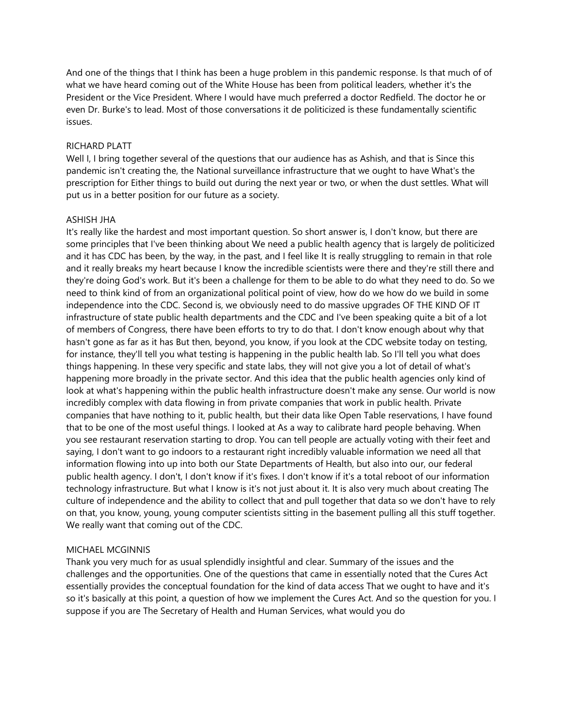And one of the things that I think has been a huge problem in this pandemic response. Is that much of of what we have heard coming out of the White House has been from political leaders, whether it's the President or the Vice President. Where I would have much preferred a doctor Redfield. The doctor he or even Dr. Burke's to lead. Most of those conversations it de politicized is these fundamentally scientific issues.

## RICHARD PLATT

Well I, I bring together several of the questions that our audience has as Ashish, and that is Since this pandemic isn't creating the, the National surveillance infrastructure that we ought to have What's the prescription for Either things to build out during the next year or two, or when the dust settles. What will put us in a better position for our future as a society.

## ASHISH JHA

It's really like the hardest and most important question. So short answer is, I don't know, but there are some principles that I've been thinking about We need a public health agency that is largely de politicized and it has CDC has been, by the way, in the past, and I feel like It is really struggling to remain in that role and it really breaks my heart because I know the incredible scientists were there and they're still there and they're doing God's work. But it's been a challenge for them to be able to do what they need to do. So we need to think kind of from an organizational political point of view, how do we how do we build in some independence into the CDC. Second is, we obviously need to do massive upgrades OF THE KIND OF IT infrastructure of state public health departments and the CDC and I've been speaking quite a bit of a lot of members of Congress, there have been efforts to try to do that. I don't know enough about why that hasn't gone as far as it has But then, beyond, you know, if you look at the CDC website today on testing, for instance, they'll tell you what testing is happening in the public health lab. So I'll tell you what does things happening. In these very specific and state labs, they will not give you a lot of detail of what's happening more broadly in the private sector. And this idea that the public health agencies only kind of look at what's happening within the public health infrastructure doesn't make any sense. Our world is now incredibly complex with data flowing in from private companies that work in public health. Private companies that have nothing to it, public health, but their data like Open Table reservations, I have found that to be one of the most useful things. I looked at As a way to calibrate hard people behaving. When you see restaurant reservation starting to drop. You can tell people are actually voting with their feet and saying, I don't want to go indoors to a restaurant right incredibly valuable information we need all that information flowing into up into both our State Departments of Health, but also into our, our federal public health agency. I don't, I don't know if it's fixes. I don't know if it's a total reboot of our information technology infrastructure. But what I know is it's not just about it. It is also very much about creating The culture of independence and the ability to collect that and pull together that data so we don't have to rely on that, you know, young, young computer scientists sitting in the basement pulling all this stuff together. We really want that coming out of the CDC.

# MICHAEL MCGINNIS

Thank you very much for as usual splendidly insightful and clear. Summary of the issues and the challenges and the opportunities. One of the questions that came in essentially noted that the Cures Act essentially provides the conceptual foundation for the kind of data access That we ought to have and it's so it's basically at this point, a question of how we implement the Cures Act. And so the question for you. I suppose if you are The Secretary of Health and Human Services, what would you do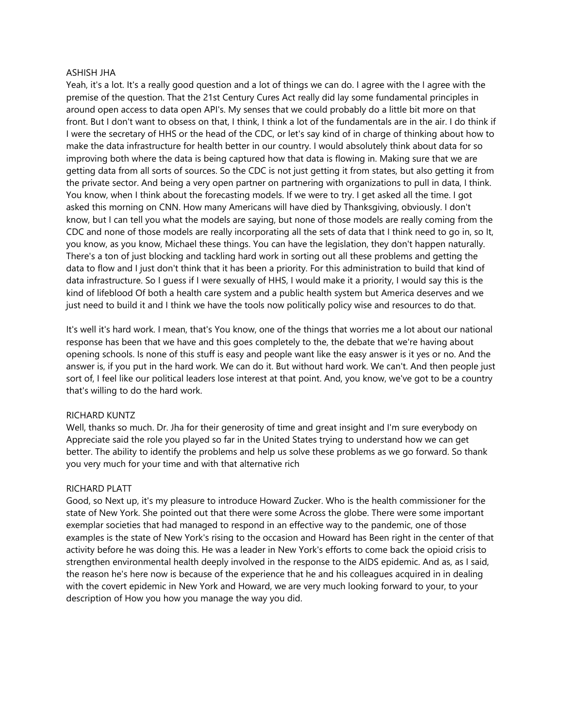### ASHISH JHA

Yeah, it's a lot. It's a really good question and a lot of things we can do. I agree with the I agree with the premise of the question. That the 21st Century Cures Act really did lay some fundamental principles in around open access to data open API's. My senses that we could probably do a little bit more on that front. But I don't want to obsess on that, I think, I think a lot of the fundamentals are in the air. I do think if I were the secretary of HHS or the head of the CDC, or let's say kind of in charge of thinking about how to make the data infrastructure for health better in our country. I would absolutely think about data for so improving both where the data is being captured how that data is flowing in. Making sure that we are getting data from all sorts of sources. So the CDC is not just getting it from states, but also getting it from the private sector. And being a very open partner on partnering with organizations to pull in data, I think. You know, when I think about the forecasting models. If we were to try. I get asked all the time. I got asked this morning on CNN. How many Americans will have died by Thanksgiving, obviously. I don't know, but I can tell you what the models are saying, but none of those models are really coming from the CDC and none of those models are really incorporating all the sets of data that I think need to go in, so It, you know, as you know, Michael these things. You can have the legislation, they don't happen naturally. There's a ton of just blocking and tackling hard work in sorting out all these problems and getting the data to flow and I just don't think that it has been a priority. For this administration to build that kind of data infrastructure. So I guess if I were sexually of HHS, I would make it a priority, I would say this is the kind of lifeblood Of both a health care system and a public health system but America deserves and we just need to build it and I think we have the tools now politically policy wise and resources to do that.

It's well it's hard work. I mean, that's You know, one of the things that worries me a lot about our national response has been that we have and this goes completely to the, the debate that we're having about opening schools. Is none of this stuff is easy and people want like the easy answer is it yes or no. And the answer is, if you put in the hard work. We can do it. But without hard work. We can't. And then people just sort of, I feel like our political leaders lose interest at that point. And, you know, we've got to be a country that's willing to do the hard work.

### RICHARD KUNTZ

Well, thanks so much. Dr. Jha for their generosity of time and great insight and I'm sure everybody on Appreciate said the role you played so far in the United States trying to understand how we can get better. The ability to identify the problems and help us solve these problems as we go forward. So thank you very much for your time and with that alternative rich

### RICHARD PLATT

Good, so Next up, it's my pleasure to introduce Howard Zucker. Who is the health commissioner for the state of New York. She pointed out that there were some Across the globe. There were some important exemplar societies that had managed to respond in an effective way to the pandemic, one of those examples is the state of New York's rising to the occasion and Howard has Been right in the center of that activity before he was doing this. He was a leader in New York's efforts to come back the opioid crisis to strengthen environmental health deeply involved in the response to the AIDS epidemic. And as, as I said, the reason he's here now is because of the experience that he and his colleagues acquired in in dealing with the covert epidemic in New York and Howard, we are very much looking forward to your, to your description of How you how you manage the way you did.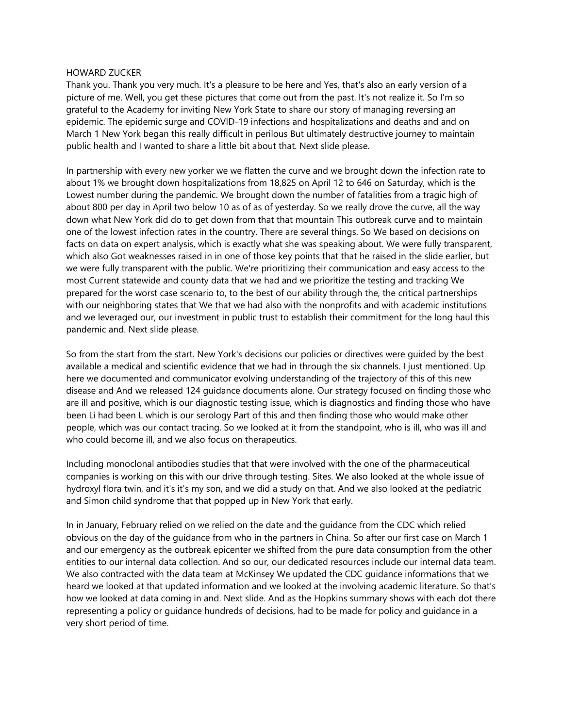#### HOWARD ZUCKER

Thank you. Thank you very much. It's a pleasure to be here and Yes, that's also an early version of a picture of me. Well, you get these pictures that come out from the past. It's not realize it. So I'm so grateful to the Academy for inviting New York State to share our story of managing reversing an epidemic. The epidemic surge and COVID-19 infections and hospitalizations and deaths and and on March 1 New York began this really difficult in perilous But ultimately destructive journey to maintain public health and I wanted to share a little bit about that. Next slide please.

In partnership with every new yorker we we flatten the curve and we brought down the infection rate to about 1% we brought down hospitalizations from 18,825 on April 12 to 646 on Saturday, which is the Lowest number during the pandemic. We brought down the number of fatalities from a tragic high of about 800 per day in April two below 10 as of as of yesterday. So we really drove the curve, all the way down what New York did do to get down from that that mountain This outbreak curve and to maintain one of the lowest infection rates in the country. There are several things. So We based on decisions on facts on data on expert analysis, which is exactly what she was speaking about. We were fully transparent, which also Got weaknesses raised in in one of those key points that that he raised in the slide earlier, but we were fully transparent with the public. We're prioritizing their communication and easy access to the most Current statewide and county data that we had and we prioritize the testing and tracking We prepared for the worst case scenario to, to the best of our ability through the, the critical partnerships with our neighboring states that We that we had also with the nonprofits and with academic institutions and we leveraged our, our investment in public trust to establish their commitment for the long haul this pandemic and. Next slide please.

So from the start from the start. New York's decisions our policies or directives were guided by the best available a medical and scientific evidence that we had in through the six channels. I just mentioned. Up here we documented and communicator evolving understanding of the trajectory of this of this new disease and And we released 124 guidance documents alone. Our strategy focused on finding those who are ill and positive, which is our diagnostic testing issue, which is diagnostics and finding those who have been Li had been L which is our serology Part of this and then finding those who would make other people, which was our contact tracing. So we looked at it from the standpoint, who is ill, who was ill and who could become ill, and we also focus on therapeutics.

Including monoclonal antibodies studies that that were involved with the one of the pharmaceutical companies is working on this with our drive through testing. Sites. We also looked at the whole issue of hydroxyl flora twin, and it's it's my son, and we did a study on that. And we also looked at the pediatric and Simon child syndrome that that popped up in New York that early.

In in January, February relied on we relied on the date and the guidance from the CDC which relied obvious on the day of the guidance from who in the partners in China. So after our first case on March 1 and our emergency as the outbreak epicenter we shifted from the pure data consumption from the other entities to our internal data collection. And so our, our dedicated resources include our internal data team. We also contracted with the data team at McKinsey We updated the CDC guidance informations that we heard we looked at that updated information and we looked at the involving academic literature. So that's how we looked at data coming in and. Next slide. And as the Hopkins summary shows with each dot there representing a policy or guidance hundreds of decisions, had to be made for policy and guidance in a very short period of time.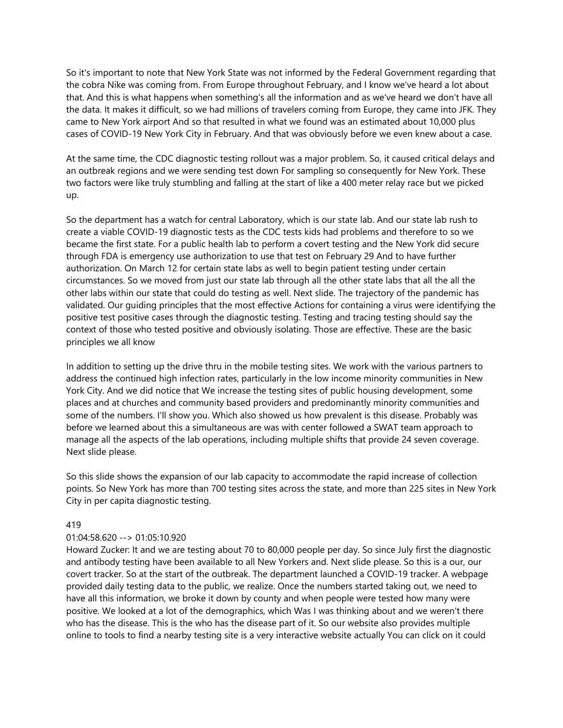So it's important to note that New York State was not informed by the Federal Government regarding that the cobra Nike was coming from. From Europe throughout February, and I know we've heard a lot about that. And this is what happens when something's all the information and as we've heard we don't have all the data. It makes it difficult, so we had millions of travelers coming from Europe, they came into JFK. They came to New York airport And so that resulted in what we found was an estimated about 10,000 plus cases of COVID-19 New York City in February. And that was obviously before we even knew about a case.

At the same time, the CDC diagnostic testing rollout was a major problem. So, it caused critical delays and an outbreak regions and we were sending test down For sampling so consequently for New York. These two factors were like truly stumbling and falling at the start of like a 400 meter relay race but we picked up.

So the department has a watch for central Laboratory, which is our state lab. And our state lab rush to create a viable COVID-19 diagnostic tests as the CDC tests kids had problems and therefore to so we became the first state. For a public health lab to perform a covert testing and the New York did secure through FDA is emergency use authorization to use that test on February 29 And to have further authorization. On March 12 for certain state labs as well to begin patient testing under certain circumstances. So we moved from just our state lab through all the other state labs that all the all the other labs within our state that could do testing as well. Next slide. The trajectory of the pandemic has validated. Our guiding principles that the most effective Actions for containing a virus were identifying the positive test positive cases through the diagnostic testing. Testing and tracing testing should say the context of those who tested positive and obviously isolating. Those are effective. These are the basic principles we all know

In addition to setting up the drive thru in the mobile testing sites. We work with the various partners to address the continued high infection rates, particularly in the low income minority communities in New York City. And we did notice that We increase the testing sites of public housing development, some places and at churches and community based providers and predominantly minority communities and some of the numbers. I'll show you. Which also showed us how prevalent is this disease. Probably was before we learned about this a simultaneous are was with center followed a SWAT team approach to manage all the aspects of the lab operations, including multiple shifts that provide 24 seven coverage. Next slide please.

So this slide shows the expansion of our lab capacity to accommodate the rapid increase of collection points. So New York has more than 700 testing sites across the state, and more than 225 sites in New York City in per capita diagnostic testing.

# 419

# 01:04:58.620 --> 01:05:10.920

Howard Zucker: It and we are testing about 70 to 80,000 people per day. So since July first the diagnostic and antibody testing have been available to all New Yorkers and. Next slide please. So this is a our, our covert tracker. So at the start of the outbreak. The department launched a COVID-19 tracker. A webpage provided daily testing data to the public, we realize. Once the numbers started taking out, we need to have all this information, we broke it down by county and when people were tested how many were positive. We looked at a lot of the demographics, which Was I was thinking about and we weren't there who has the disease. This is the who has the disease part of it. So our website also provides multiple online to tools to find a nearby testing site is a very interactive website actually You can click on it could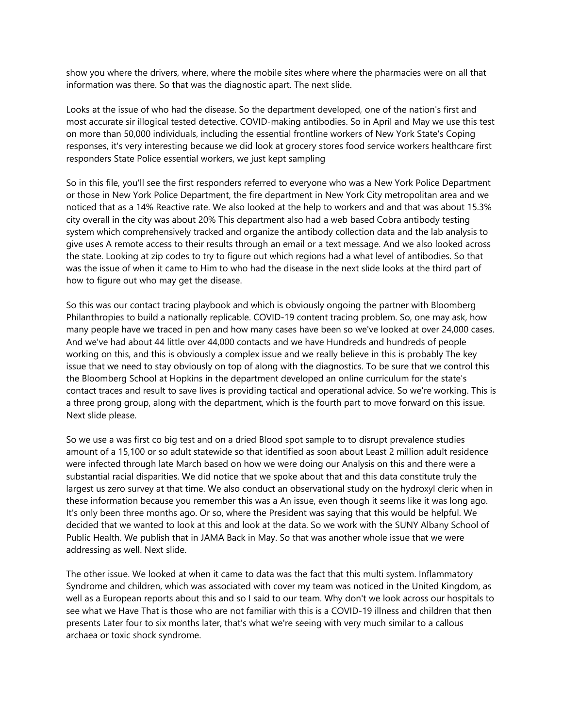show you where the drivers, where, where the mobile sites where where the pharmacies were on all that information was there. So that was the diagnostic apart. The next slide.

Looks at the issue of who had the disease. So the department developed, one of the nation's first and most accurate sir illogical tested detective. COVID-making antibodies. So in April and May we use this test on more than 50,000 individuals, including the essential frontline workers of New York State's Coping responses, it's very interesting because we did look at grocery stores food service workers healthcare first responders State Police essential workers, we just kept sampling

So in this file, you'll see the first responders referred to everyone who was a New York Police Department or those in New York Police Department, the fire department in New York City metropolitan area and we noticed that as a 14% Reactive rate. We also looked at the help to workers and and that was about 15.3% city overall in the city was about 20% This department also had a web based Cobra antibody testing system which comprehensively tracked and organize the antibody collection data and the lab analysis to give uses A remote access to their results through an email or a text message. And we also looked across the state. Looking at zip codes to try to figure out which regions had a what level of antibodies. So that was the issue of when it came to Him to who had the disease in the next slide looks at the third part of how to figure out who may get the disease.

So this was our contact tracing playbook and which is obviously ongoing the partner with Bloomberg Philanthropies to build a nationally replicable. COVID-19 content tracing problem. So, one may ask, how many people have we traced in pen and how many cases have been so we've looked at over 24,000 cases. And we've had about 44 little over 44,000 contacts and we have Hundreds and hundreds of people working on this, and this is obviously a complex issue and we really believe in this is probably The key issue that we need to stay obviously on top of along with the diagnostics. To be sure that we control this the Bloomberg School at Hopkins in the department developed an online curriculum for the state's contact traces and result to save lives is providing tactical and operational advice. So we're working. This is a three prong group, along with the department, which is the fourth part to move forward on this issue. Next slide please.

So we use a was first co big test and on a dried Blood spot sample to to disrupt prevalence studies amount of a 15,100 or so adult statewide so that identified as soon about Least 2 million adult residence were infected through late March based on how we were doing our Analysis on this and there were a substantial racial disparities. We did notice that we spoke about that and this data constitute truly the largest us zero survey at that time. We also conduct an observational study on the hydroxyl cleric when in these information because you remember this was a An issue, even though it seems like it was long ago. It's only been three months ago. Or so, where the President was saying that this would be helpful. We decided that we wanted to look at this and look at the data. So we work with the SUNY Albany School of Public Health. We publish that in JAMA Back in May. So that was another whole issue that we were addressing as well. Next slide.

The other issue. We looked at when it came to data was the fact that this multi system. Inflammatory Syndrome and children, which was associated with cover my team was noticed in the United Kingdom, as well as a European reports about this and so I said to our team. Why don't we look across our hospitals to see what we Have That is those who are not familiar with this is a COVID-19 illness and children that then presents Later four to six months later, that's what we're seeing with very much similar to a callous archaea or toxic shock syndrome.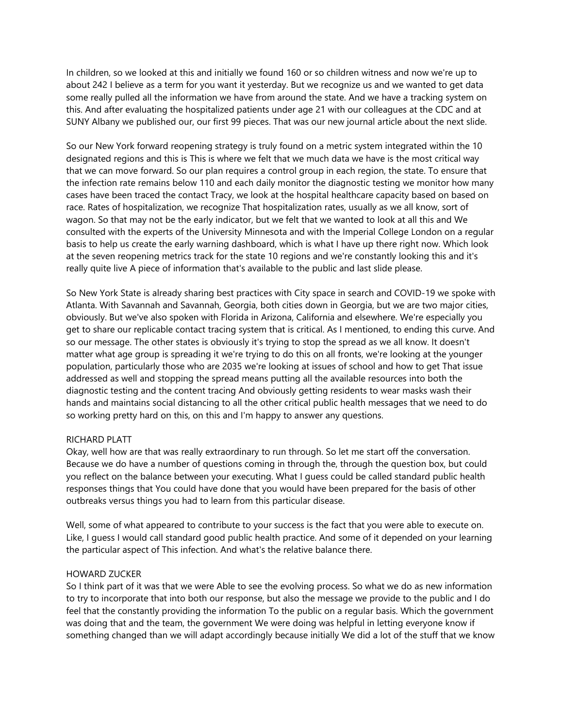In children, so we looked at this and initially we found 160 or so children witness and now we're up to about 242 I believe as a term for you want it yesterday. But we recognize us and we wanted to get data some really pulled all the information we have from around the state. And we have a tracking system on this. And after evaluating the hospitalized patients under age 21 with our colleagues at the CDC and at SUNY Albany we published our, our first 99 pieces. That was our new journal article about the next slide.

So our New York forward reopening strategy is truly found on a metric system integrated within the 10 designated regions and this is This is where we felt that we much data we have is the most critical way that we can move forward. So our plan requires a control group in each region, the state. To ensure that the infection rate remains below 110 and each daily monitor the diagnostic testing we monitor how many cases have been traced the contact Tracy, we look at the hospital healthcare capacity based on based on race. Rates of hospitalization, we recognize That hospitalization rates, usually as we all know, sort of wagon. So that may not be the early indicator, but we felt that we wanted to look at all this and We consulted with the experts of the University Minnesota and with the Imperial College London on a regular basis to help us create the early warning dashboard, which is what I have up there right now. Which look at the seven reopening metrics track for the state 10 regions and we're constantly looking this and it's really quite live A piece of information that's available to the public and last slide please.

So New York State is already sharing best practices with City space in search and COVID-19 we spoke with Atlanta. With Savannah and Savannah, Georgia, both cities down in Georgia, but we are two major cities, obviously. But we've also spoken with Florida in Arizona, California and elsewhere. We're especially you get to share our replicable contact tracing system that is critical. As I mentioned, to ending this curve. And so our message. The other states is obviously it's trying to stop the spread as we all know. It doesn't matter what age group is spreading it we're trying to do this on all fronts, we're looking at the younger population, particularly those who are 2035 we're looking at issues of school and how to get That issue addressed as well and stopping the spread means putting all the available resources into both the diagnostic testing and the content tracing And obviously getting residents to wear masks wash their hands and maintains social distancing to all the other critical public health messages that we need to do so working pretty hard on this, on this and I'm happy to answer any questions.

# RICHARD PLATT

Okay, well how are that was really extraordinary to run through. So let me start off the conversation. Because we do have a number of questions coming in through the, through the question box, but could you reflect on the balance between your executing. What I guess could be called standard public health responses things that You could have done that you would have been prepared for the basis of other outbreaks versus things you had to learn from this particular disease.

Well, some of what appeared to contribute to your success is the fact that you were able to execute on. Like, I guess I would call standard good public health practice. And some of it depended on your learning the particular aspect of This infection. And what's the relative balance there.

### HOWARD ZUCKER

So I think part of it was that we were Able to see the evolving process. So what we do as new information to try to incorporate that into both our response, but also the message we provide to the public and I do feel that the constantly providing the information To the public on a regular basis. Which the government was doing that and the team, the government We were doing was helpful in letting everyone know if something changed than we will adapt accordingly because initially We did a lot of the stuff that we know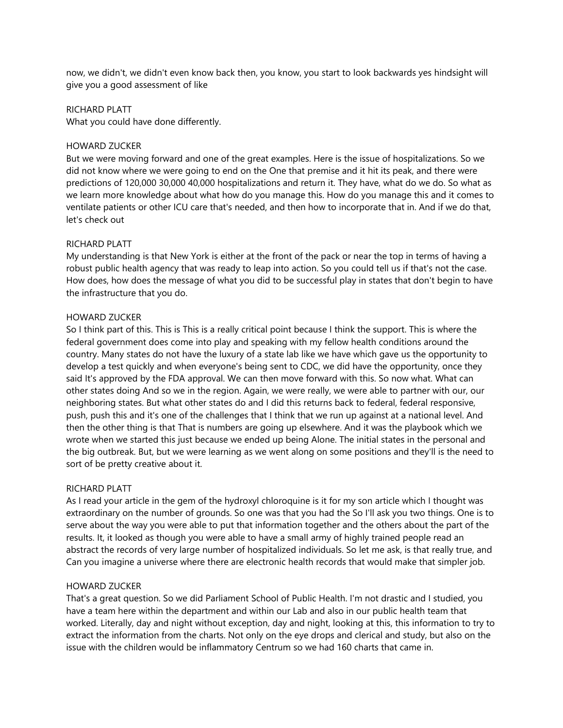now, we didn't, we didn't even know back then, you know, you start to look backwards yes hindsight will give you a good assessment of like

### RICHARD PLATT

What you could have done differently.

## HOWARD ZUCKER

But we were moving forward and one of the great examples. Here is the issue of hospitalizations. So we did not know where we were going to end on the One that premise and it hit its peak, and there were predictions of 120,000 30,000 40,000 hospitalizations and return it. They have, what do we do. So what as we learn more knowledge about what how do you manage this. How do you manage this and it comes to ventilate patients or other ICU care that's needed, and then how to incorporate that in. And if we do that, let's check out

## RICHARD PLATT

My understanding is that New York is either at the front of the pack or near the top in terms of having a robust public health agency that was ready to leap into action. So you could tell us if that's not the case. How does, how does the message of what you did to be successful play in states that don't begin to have the infrastructure that you do.

## HOWARD ZUCKER

So I think part of this. This is This is a really critical point because I think the support. This is where the federal government does come into play and speaking with my fellow health conditions around the country. Many states do not have the luxury of a state lab like we have which gave us the opportunity to develop a test quickly and when everyone's being sent to CDC, we did have the opportunity, once they said It's approved by the FDA approval. We can then move forward with this. So now what. What can other states doing And so we in the region. Again, we were really, we were able to partner with our, our neighboring states. But what other states do and I did this returns back to federal, federal responsive, push, push this and it's one of the challenges that I think that we run up against at a national level. And then the other thing is that That is numbers are going up elsewhere. And it was the playbook which we wrote when we started this just because we ended up being Alone. The initial states in the personal and the big outbreak. But, but we were learning as we went along on some positions and they'll is the need to sort of be pretty creative about it.

# RICHARD PLATT

As I read your article in the gem of the hydroxyl chloroquine is it for my son article which I thought was extraordinary on the number of grounds. So one was that you had the So I'll ask you two things. One is to serve about the way you were able to put that information together and the others about the part of the results. It, it looked as though you were able to have a small army of highly trained people read an abstract the records of very large number of hospitalized individuals. So let me ask, is that really true, and Can you imagine a universe where there are electronic health records that would make that simpler job.

## HOWARD ZUCKER

That's a great question. So we did Parliament School of Public Health. I'm not drastic and I studied, you have a team here within the department and within our Lab and also in our public health team that worked. Literally, day and night without exception, day and night, looking at this, this information to try to extract the information from the charts. Not only on the eye drops and clerical and study, but also on the issue with the children would be inflammatory Centrum so we had 160 charts that came in.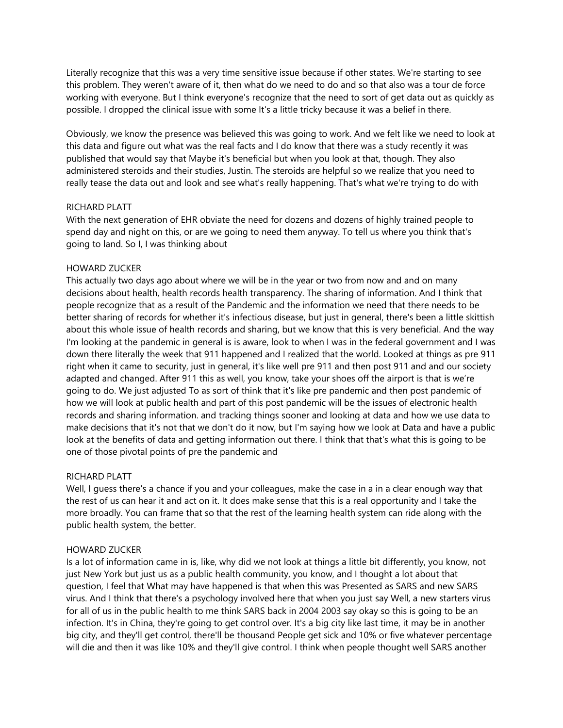Literally recognize that this was a very time sensitive issue because if other states. We're starting to see this problem. They weren't aware of it, then what do we need to do and so that also was a tour de force working with everyone. But I think everyone's recognize that the need to sort of get data out as quickly as possible. I dropped the clinical issue with some It's a little tricky because it was a belief in there.

Obviously, we know the presence was believed this was going to work. And we felt like we need to look at this data and figure out what was the real facts and I do know that there was a study recently it was published that would say that Maybe it's beneficial but when you look at that, though. They also administered steroids and their studies, Justin. The steroids are helpful so we realize that you need to really tease the data out and look and see what's really happening. That's what we're trying to do with

## RICHARD PLATT

With the next generation of EHR obviate the need for dozens and dozens of highly trained people to spend day and night on this, or are we going to need them anyway. To tell us where you think that's going to land. So I, I was thinking about

## HOWARD ZUCKER

This actually two days ago about where we will be in the year or two from now and and on many decisions about health, health records health transparency. The sharing of information. And I think that people recognize that as a result of the Pandemic and the information we need that there needs to be better sharing of records for whether it's infectious disease, but just in general, there's been a little skittish about this whole issue of health records and sharing, but we know that this is very beneficial. And the way I'm looking at the pandemic in general is is aware, look to when I was in the federal government and I was down there literally the week that 911 happened and I realized that the world. Looked at things as pre 911 right when it came to security, just in general, it's like well pre 911 and then post 911 and and our society adapted and changed. After 911 this as well, you know, take your shoes off the airport is that is we're going to do. We just adjusted To as sort of think that it's like pre pandemic and then post pandemic of how we will look at public health and part of this post pandemic will be the issues of electronic health records and sharing information. and tracking things sooner and looking at data and how we use data to make decisions that it's not that we don't do it now, but I'm saying how we look at Data and have a public look at the benefits of data and getting information out there. I think that that's what this is going to be one of those pivotal points of pre the pandemic and

## RICHARD PLATT

Well, I guess there's a chance if you and your colleagues, make the case in a in a clear enough way that the rest of us can hear it and act on it. It does make sense that this is a real opportunity and I take the more broadly. You can frame that so that the rest of the learning health system can ride along with the public health system, the better.

### HOWARD ZUCKER

Is a lot of information came in is, like, why did we not look at things a little bit differently, you know, not just New York but just us as a public health community, you know, and I thought a lot about that question, I feel that What may have happened is that when this was Presented as SARS and new SARS virus. And I think that there's a psychology involved here that when you just say Well, a new starters virus for all of us in the public health to me think SARS back in 2004 2003 say okay so this is going to be an infection. It's in China, they're going to get control over. It's a big city like last time, it may be in another big city, and they'll get control, there'll be thousand People get sick and 10% or five whatever percentage will die and then it was like 10% and they'll give control. I think when people thought well SARS another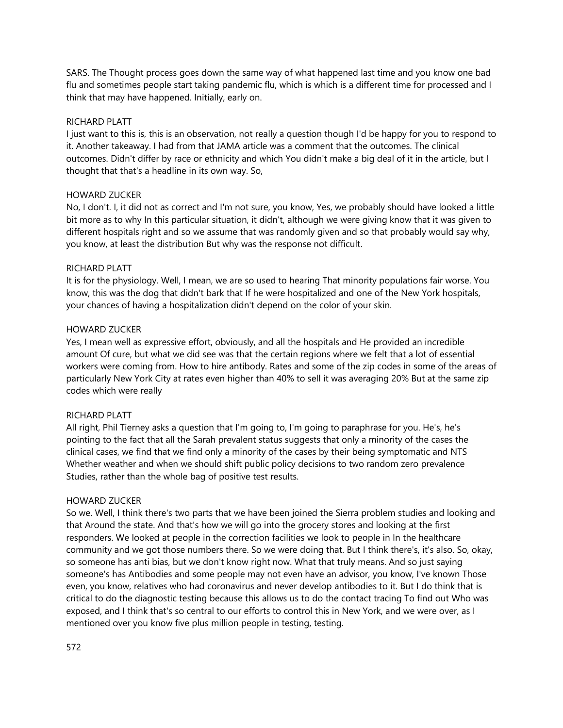SARS. The Thought process goes down the same way of what happened last time and you know one bad flu and sometimes people start taking pandemic flu, which is which is a different time for processed and I think that may have happened. Initially, early on.

### RICHARD PLATT

I just want to this is, this is an observation, not really a question though I'd be happy for you to respond to it. Another takeaway. I had from that JAMA article was a comment that the outcomes. The clinical outcomes. Didn't differ by race or ethnicity and which You didn't make a big deal of it in the article, but I thought that that's a headline in its own way. So,

## HOWARD ZUCKER

No, I don't. I, it did not as correct and I'm not sure, you know, Yes, we probably should have looked a little bit more as to why In this particular situation, it didn't, although we were giving know that it was given to different hospitals right and so we assume that was randomly given and so that probably would say why, you know, at least the distribution But why was the response not difficult.

## RICHARD PLATT

It is for the physiology. Well, I mean, we are so used to hearing That minority populations fair worse. You know, this was the dog that didn't bark that If he were hospitalized and one of the New York hospitals, your chances of having a hospitalization didn't depend on the color of your skin.

## HOWARD ZUCKER

Yes, I mean well as expressive effort, obviously, and all the hospitals and He provided an incredible amount Of cure, but what we did see was that the certain regions where we felt that a lot of essential workers were coming from. How to hire antibody. Rates and some of the zip codes in some of the areas of particularly New York City at rates even higher than 40% to sell it was averaging 20% But at the same zip codes which were really

### RICHARD PLATT

All right, Phil Tierney asks a question that I'm going to, I'm going to paraphrase for you. He's, he's pointing to the fact that all the Sarah prevalent status suggests that only a minority of the cases the clinical cases, we find that we find only a minority of the cases by their being symptomatic and NTS Whether weather and when we should shift public policy decisions to two random zero prevalence Studies, rather than the whole bag of positive test results.

### HOWARD ZUCKER

So we. Well, I think there's two parts that we have been joined the Sierra problem studies and looking and that Around the state. And that's how we will go into the grocery stores and looking at the first responders. We looked at people in the correction facilities we look to people in In the healthcare community and we got those numbers there. So we were doing that. But I think there's, it's also. So, okay, so someone has anti bias, but we don't know right now. What that truly means. And so just saying someone's has Antibodies and some people may not even have an advisor, you know, I've known Those even, you know, relatives who had coronavirus and never develop antibodies to it. But I do think that is critical to do the diagnostic testing because this allows us to do the contact tracing To find out Who was exposed, and I think that's so central to our efforts to control this in New York, and we were over, as I mentioned over you know five plus million people in testing, testing.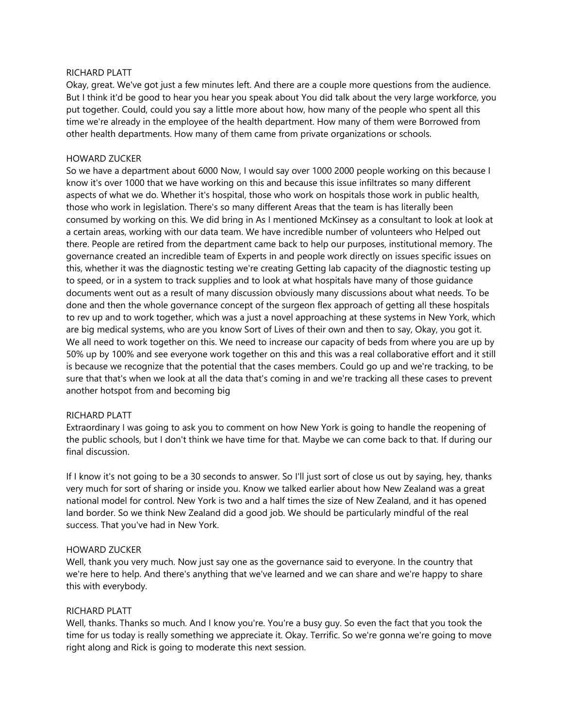### RICHARD PLATT

Okay, great. We've got just a few minutes left. And there are a couple more questions from the audience. But I think it'd be good to hear you hear you speak about You did talk about the very large workforce, you put together. Could, could you say a little more about how, how many of the people who spent all this time we're already in the employee of the health department. How many of them were Borrowed from other health departments. How many of them came from private organizations or schools.

#### HOWARD ZUCKER

So we have a department about 6000 Now, I would say over 1000 2000 people working on this because I know it's over 1000 that we have working on this and because this issue infiltrates so many different aspects of what we do. Whether it's hospital, those who work on hospitals those work in public health, those who work in legislation. There's so many different Areas that the team is has literally been consumed by working on this. We did bring in As I mentioned McKinsey as a consultant to look at look at a certain areas, working with our data team. We have incredible number of volunteers who Helped out there. People are retired from the department came back to help our purposes, institutional memory. The governance created an incredible team of Experts in and people work directly on issues specific issues on this, whether it was the diagnostic testing we're creating Getting lab capacity of the diagnostic testing up to speed, or in a system to track supplies and to look at what hospitals have many of those guidance documents went out as a result of many discussion obviously many discussions about what needs. To be done and then the whole governance concept of the surgeon flex approach of getting all these hospitals to rev up and to work together, which was a just a novel approaching at these systems in New York, which are big medical systems, who are you know Sort of Lives of their own and then to say, Okay, you got it. We all need to work together on this. We need to increase our capacity of beds from where you are up by 50% up by 100% and see everyone work together on this and this was a real collaborative effort and it still is because we recognize that the potential that the cases members. Could go up and we're tracking, to be sure that that's when we look at all the data that's coming in and we're tracking all these cases to prevent another hotspot from and becoming big

### RICHARD PLATT

Extraordinary I was going to ask you to comment on how New York is going to handle the reopening of the public schools, but I don't think we have time for that. Maybe we can come back to that. If during our final discussion.

If I know it's not going to be a 30 seconds to answer. So I'll just sort of close us out by saying, hey, thanks very much for sort of sharing or inside you. Know we talked earlier about how New Zealand was a great national model for control. New York is two and a half times the size of New Zealand, and it has opened land border. So we think New Zealand did a good job. We should be particularly mindful of the real success. That you've had in New York.

### HOWARD ZUCKER

Well, thank you very much. Now just say one as the governance said to everyone. In the country that we're here to help. And there's anything that we've learned and we can share and we're happy to share this with everybody.

### RICHARD PLATT

Well, thanks. Thanks so much. And I know you're. You're a busy guy. So even the fact that you took the time for us today is really something we appreciate it. Okay. Terrific. So we're gonna we're going to move right along and Rick is going to moderate this next session.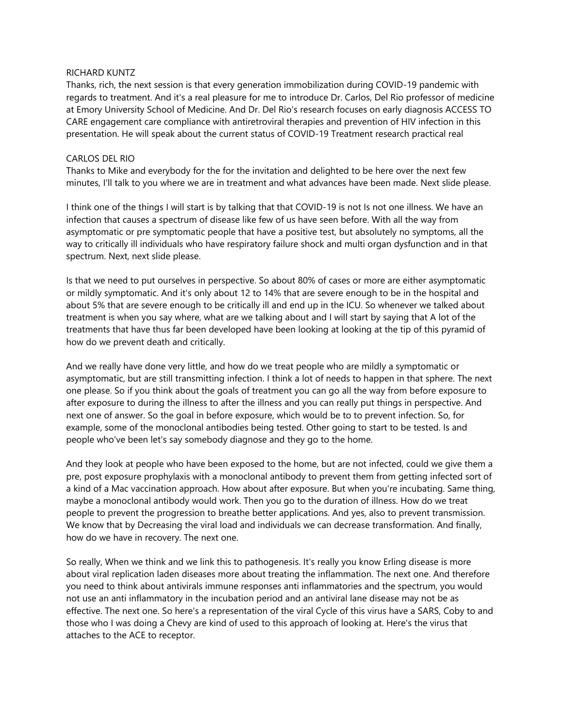#### RICHARD KUNTZ

Thanks, rich, the next session is that every generation immobilization during COVID-19 pandemic with regards to treatment. And it's a real pleasure for me to introduce Dr. Carlos, Del Rio professor of medicine at Emory University School of Medicine. And Dr. Del Rio's research focuses on early diagnosis ACCESS TO CARE engagement care compliance with antiretroviral therapies and prevention of HIV infection in this presentation. He will speak about the current status of COVID-19 Treatment research practical real

### CARLOS DEL RIO

Thanks to Mike and everybody for the for the invitation and delighted to be here over the next few minutes, I'll talk to you where we are in treatment and what advances have been made. Next slide please.

I think one of the things I will start is by talking that that COVID-19 is not Is not one illness. We have an infection that causes a spectrum of disease like few of us have seen before. With all the way from asymptomatic or pre symptomatic people that have a positive test, but absolutely no symptoms, all the way to critically ill individuals who have respiratory failure shock and multi organ dysfunction and in that spectrum. Next, next slide please.

Is that we need to put ourselves in perspective. So about 80% of cases or more are either asymptomatic or mildly symptomatic. And it's only about 12 to 14% that are severe enough to be in the hospital and about 5% that are severe enough to be critically ill and end up in the ICU. So whenever we talked about treatment is when you say where, what are we talking about and I will start by saying that A lot of the treatments that have thus far been developed have been looking at looking at the tip of this pyramid of how do we prevent death and critically.

And we really have done very little, and how do we treat people who are mildly a symptomatic or asymptomatic, but are still transmitting infection. I think a lot of needs to happen in that sphere. The next one please. So if you think about the goals of treatment you can go all the way from before exposure to after exposure to during the illness to after the illness and you can really put things in perspective. And next one of answer. So the goal in before exposure, which would be to to prevent infection. So, for example, some of the monoclonal antibodies being tested. Other going to start to be tested. Is and people who've been let's say somebody diagnose and they go to the home.

And they look at people who have been exposed to the home, but are not infected, could we give them a pre, post exposure prophylaxis with a monoclonal antibody to prevent them from getting infected sort of a kind of a Mac vaccination approach. How about after exposure. But when you're incubating. Same thing, maybe a monoclonal antibody would work. Then you go to the duration of illness. How do we treat people to prevent the progression to breathe better applications. And yes, also to prevent transmission. We know that by Decreasing the viral load and individuals we can decrease transformation. And finally, how do we have in recovery. The next one.

So really, When we think and we link this to pathogenesis. It's really you know Erling disease is more about viral replication laden diseases more about treating the inflammation. The next one. And therefore you need to think about antivirals immune responses anti inflammatories and the spectrum, you would not use an anti inflammatory in the incubation period and an antiviral lane disease may not be as effective. The next one. So here's a representation of the viral Cycle of this virus have a SARS, Coby to and those who I was doing a Chevy are kind of used to this approach of looking at. Here's the virus that attaches to the ACE to receptor.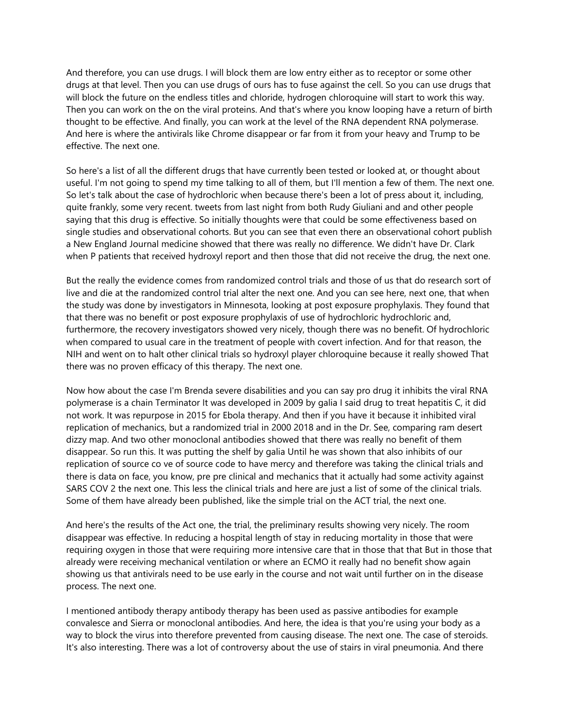And therefore, you can use drugs. I will block them are low entry either as to receptor or some other drugs at that level. Then you can use drugs of ours has to fuse against the cell. So you can use drugs that will block the future on the endless titles and chloride, hydrogen chloroquine will start to work this way. Then you can work on the on the viral proteins. And that's where you know looping have a return of birth thought to be effective. And finally, you can work at the level of the RNA dependent RNA polymerase. And here is where the antivirals like Chrome disappear or far from it from your heavy and Trump to be effective. The next one.

So here's a list of all the different drugs that have currently been tested or looked at, or thought about useful. I'm not going to spend my time talking to all of them, but I'll mention a few of them. The next one. So let's talk about the case of hydrochloric when because there's been a lot of press about it, including, quite frankly, some very recent. tweets from last night from both Rudy Giuliani and and other people saying that this drug is effective. So initially thoughts were that could be some effectiveness based on single studies and observational cohorts. But you can see that even there an observational cohort publish a New England Journal medicine showed that there was really no difference. We didn't have Dr. Clark when P patients that received hydroxyl report and then those that did not receive the drug, the next one.

But the really the evidence comes from randomized control trials and those of us that do research sort of live and die at the randomized control trial alter the next one. And you can see here, next one, that when the study was done by investigators in Minnesota, looking at post exposure prophylaxis. They found that that there was no benefit or post exposure prophylaxis of use of hydrochloric hydrochloric and, furthermore, the recovery investigators showed very nicely, though there was no benefit. Of hydrochloric when compared to usual care in the treatment of people with covert infection. And for that reason, the NIH and went on to halt other clinical trials so hydroxyl player chloroquine because it really showed That there was no proven efficacy of this therapy. The next one.

Now how about the case I'm Brenda severe disabilities and you can say pro drug it inhibits the viral RNA polymerase is a chain Terminator It was developed in 2009 by galia I said drug to treat hepatitis C, it did not work. It was repurpose in 2015 for Ebola therapy. And then if you have it because it inhibited viral replication of mechanics, but a randomized trial in 2000 2018 and in the Dr. See, comparing ram desert dizzy map. And two other monoclonal antibodies showed that there was really no benefit of them disappear. So run this. It was putting the shelf by galia Until he was shown that also inhibits of our replication of source co ve of source code to have mercy and therefore was taking the clinical trials and there is data on face, you know, pre pre clinical and mechanics that it actually had some activity against SARS COV 2 the next one. This less the clinical trials and here are just a list of some of the clinical trials. Some of them have already been published, like the simple trial on the ACT trial, the next one.

And here's the results of the Act one, the trial, the preliminary results showing very nicely. The room disappear was effective. In reducing a hospital length of stay in reducing mortality in those that were requiring oxygen in those that were requiring more intensive care that in those that that But in those that already were receiving mechanical ventilation or where an ECMO it really had no benefit show again showing us that antivirals need to be use early in the course and not wait until further on in the disease process. The next one.

I mentioned antibody therapy antibody therapy has been used as passive antibodies for example convalesce and Sierra or monoclonal antibodies. And here, the idea is that you're using your body as a way to block the virus into therefore prevented from causing disease. The next one. The case of steroids. It's also interesting. There was a lot of controversy about the use of stairs in viral pneumonia. And there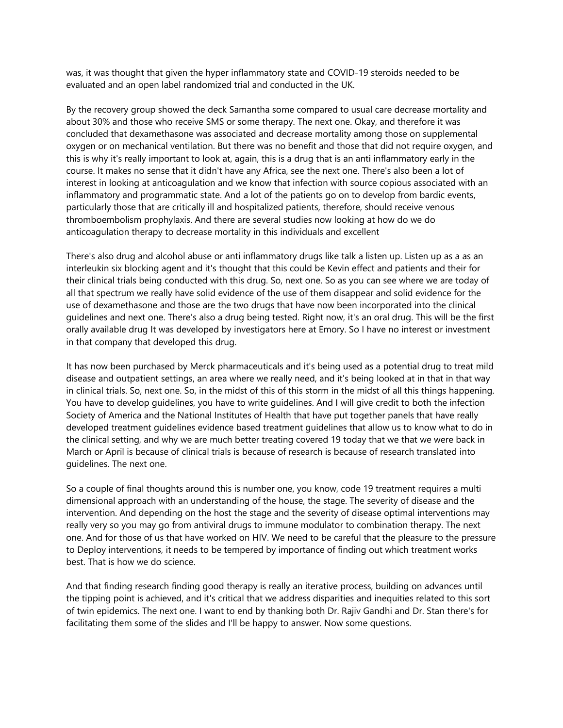was, it was thought that given the hyper inflammatory state and COVID-19 steroids needed to be evaluated and an open label randomized trial and conducted in the UK.

By the recovery group showed the deck Samantha some compared to usual care decrease mortality and about 30% and those who receive SMS or some therapy. The next one. Okay, and therefore it was concluded that dexamethasone was associated and decrease mortality among those on supplemental oxygen or on mechanical ventilation. But there was no benefit and those that did not require oxygen, and this is why it's really important to look at, again, this is a drug that is an anti inflammatory early in the course. It makes no sense that it didn't have any Africa, see the next one. There's also been a lot of interest in looking at anticoagulation and we know that infection with source copious associated with an inflammatory and programmatic state. And a lot of the patients go on to develop from bardic events, particularly those that are critically ill and hospitalized patients, therefore, should receive venous thromboembolism prophylaxis. And there are several studies now looking at how do we do anticoagulation therapy to decrease mortality in this individuals and excellent

There's also drug and alcohol abuse or anti inflammatory drugs like talk a listen up. Listen up as a as an interleukin six blocking agent and it's thought that this could be Kevin effect and patients and their for their clinical trials being conducted with this drug. So, next one. So as you can see where we are today of all that spectrum we really have solid evidence of the use of them disappear and solid evidence for the use of dexamethasone and those are the two drugs that have now been incorporated into the clinical guidelines and next one. There's also a drug being tested. Right now, it's an oral drug. This will be the first orally available drug It was developed by investigators here at Emory. So I have no interest or investment in that company that developed this drug.

It has now been purchased by Merck pharmaceuticals and it's being used as a potential drug to treat mild disease and outpatient settings, an area where we really need, and it's being looked at in that in that way in clinical trials. So, next one. So, in the midst of this of this storm in the midst of all this things happening. You have to develop guidelines, you have to write guidelines. And I will give credit to both the infection Society of America and the National Institutes of Health that have put together panels that have really developed treatment guidelines evidence based treatment guidelines that allow us to know what to do in the clinical setting, and why we are much better treating covered 19 today that we that we were back in March or April is because of clinical trials is because of research is because of research translated into guidelines. The next one.

So a couple of final thoughts around this is number one, you know, code 19 treatment requires a multi dimensional approach with an understanding of the house, the stage. The severity of disease and the intervention. And depending on the host the stage and the severity of disease optimal interventions may really very so you may go from antiviral drugs to immune modulator to combination therapy. The next one. And for those of us that have worked on HIV. We need to be careful that the pleasure to the pressure to Deploy interventions, it needs to be tempered by importance of finding out which treatment works best. That is how we do science.

And that finding research finding good therapy is really an iterative process, building on advances until the tipping point is achieved, and it's critical that we address disparities and inequities related to this sort of twin epidemics. The next one. I want to end by thanking both Dr. Rajiv Gandhi and Dr. Stan there's for facilitating them some of the slides and I'll be happy to answer. Now some questions.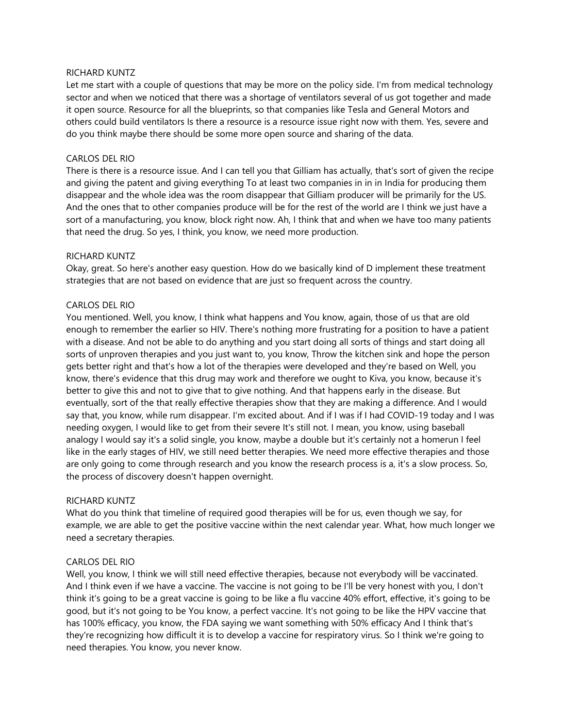### RICHARD KUNTZ

Let me start with a couple of questions that may be more on the policy side. I'm from medical technology sector and when we noticed that there was a shortage of ventilators several of us got together and made it open source. Resource for all the blueprints, so that companies like Tesla and General Motors and others could build ventilators Is there a resource is a resource issue right now with them. Yes, severe and do you think maybe there should be some more open source and sharing of the data.

### CARLOS DEL RIO

There is there is a resource issue. And I can tell you that Gilliam has actually, that's sort of given the recipe and giving the patent and giving everything To at least two companies in in in India for producing them disappear and the whole idea was the room disappear that Gilliam producer will be primarily for the US. And the ones that to other companies produce will be for the rest of the world are I think we just have a sort of a manufacturing, you know, block right now. Ah, I think that and when we have too many patients that need the drug. So yes, I think, you know, we need more production.

### RICHARD KUNTZ

Okay, great. So here's another easy question. How do we basically kind of D implement these treatment strategies that are not based on evidence that are just so frequent across the country.

## CARLOS DEL RIO

You mentioned. Well, you know, I think what happens and You know, again, those of us that are old enough to remember the earlier so HIV. There's nothing more frustrating for a position to have a patient with a disease. And not be able to do anything and you start doing all sorts of things and start doing all sorts of unproven therapies and you just want to, you know, Throw the kitchen sink and hope the person gets better right and that's how a lot of the therapies were developed and they're based on Well, you know, there's evidence that this drug may work and therefore we ought to Kiva, you know, because it's better to give this and not to give that to give nothing. And that happens early in the disease. But eventually, sort of the that really effective therapies show that they are making a difference. And I would say that, you know, while rum disappear. I'm excited about. And if I was if I had COVID-19 today and I was needing oxygen, I would like to get from their severe It's still not. I mean, you know, using baseball analogy I would say it's a solid single, you know, maybe a double but it's certainly not a homerun I feel like in the early stages of HIV, we still need better therapies. We need more effective therapies and those are only going to come through research and you know the research process is a, it's a slow process. So, the process of discovery doesn't happen overnight.

### RICHARD KUNTZ

What do you think that timeline of required good therapies will be for us, even though we say, for example, we are able to get the positive vaccine within the next calendar year. What, how much longer we need a secretary therapies.

### CARLOS DEL RIO

Well, you know, I think we will still need effective therapies, because not everybody will be vaccinated. And I think even if we have a vaccine. The vaccine is not going to be I'll be very honest with you, I don't think it's going to be a great vaccine is going to be like a flu vaccine 40% effort, effective, it's going to be good, but it's not going to be You know, a perfect vaccine. It's not going to be like the HPV vaccine that has 100% efficacy, you know, the FDA saying we want something with 50% efficacy And I think that's they're recognizing how difficult it is to develop a vaccine for respiratory virus. So I think we're going to need therapies. You know, you never know.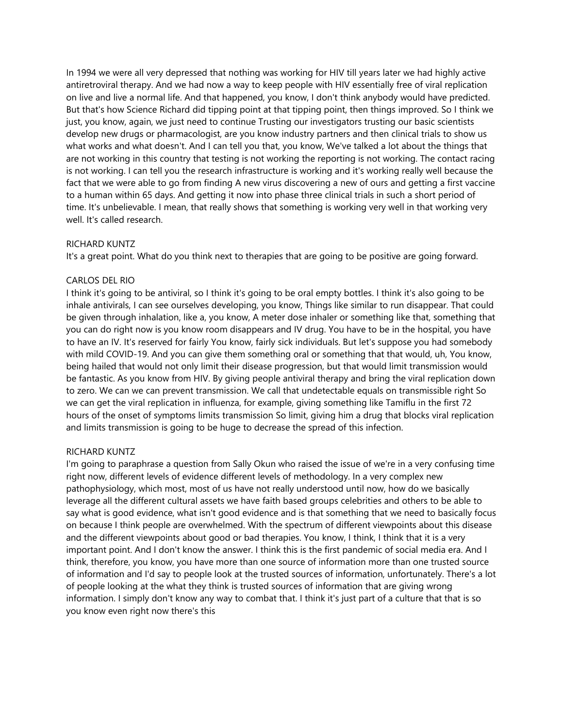In 1994 we were all very depressed that nothing was working for HIV till years later we had highly active antiretroviral therapy. And we had now a way to keep people with HIV essentially free of viral replication on live and live a normal life. And that happened, you know, I don't think anybody would have predicted. But that's how Science Richard did tipping point at that tipping point, then things improved. So I think we just, you know, again, we just need to continue Trusting our investigators trusting our basic scientists develop new drugs or pharmacologist, are you know industry partners and then clinical trials to show us what works and what doesn't. And I can tell you that, you know, We've talked a lot about the things that are not working in this country that testing is not working the reporting is not working. The contact racing is not working. I can tell you the research infrastructure is working and it's working really well because the fact that we were able to go from finding A new virus discovering a new of ours and getting a first vaccine to a human within 65 days. And getting it now into phase three clinical trials in such a short period of time. It's unbelievable. I mean, that really shows that something is working very well in that working very well. It's called research.

## RICHARD KUNTZ

It's a great point. What do you think next to therapies that are going to be positive are going forward.

## CARLOS DEL RIO

I think it's going to be antiviral, so I think it's going to be oral empty bottles. I think it's also going to be inhale antivirals, I can see ourselves developing, you know, Things like similar to run disappear. That could be given through inhalation, like a, you know, A meter dose inhaler or something like that, something that you can do right now is you know room disappears and IV drug. You have to be in the hospital, you have to have an IV. It's reserved for fairly You know, fairly sick individuals. But let's suppose you had somebody with mild COVID-19. And you can give them something oral or something that that would, uh, You know, being hailed that would not only limit their disease progression, but that would limit transmission would be fantastic. As you know from HIV. By giving people antiviral therapy and bring the viral replication down to zero. We can we can prevent transmission. We call that undetectable equals on transmissible right So we can get the viral replication in influenza, for example, giving something like Tamiflu in the first 72 hours of the onset of symptoms limits transmission So limit, giving him a drug that blocks viral replication and limits transmission is going to be huge to decrease the spread of this infection.

#### RICHARD KUNTZ

I'm going to paraphrase a question from Sally Okun who raised the issue of we're in a very confusing time right now, different levels of evidence different levels of methodology. In a very complex new pathophysiology, which most, most of us have not really understood until now, how do we basically leverage all the different cultural assets we have faith based groups celebrities and others to be able to say what is good evidence, what isn't good evidence and is that something that we need to basically focus on because I think people are overwhelmed. With the spectrum of different viewpoints about this disease and the different viewpoints about good or bad therapies. You know, I think, I think that it is a very important point. And I don't know the answer. I think this is the first pandemic of social media era. And I think, therefore, you know, you have more than one source of information more than one trusted source of information and I'd say to people look at the trusted sources of information, unfortunately. There's a lot of people looking at the what they think is trusted sources of information that are giving wrong information. I simply don't know any way to combat that. I think it's just part of a culture that that is so you know even right now there's this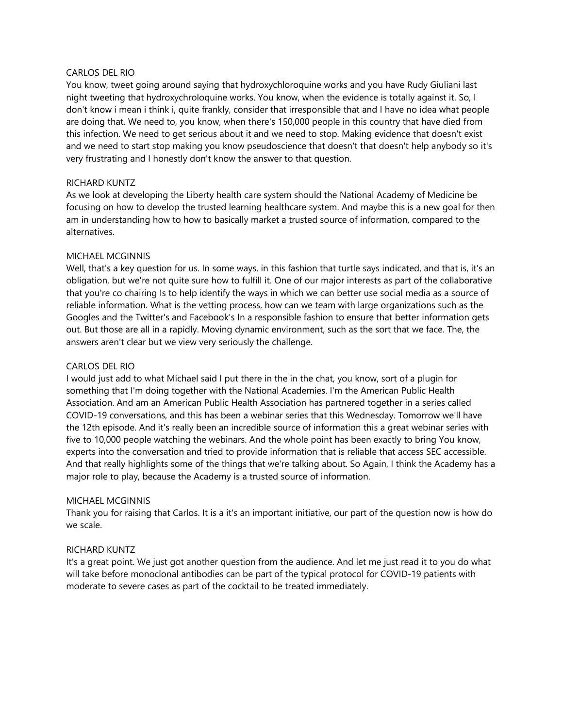### CARLOS DEL RIO

You know, tweet going around saying that hydroxychloroquine works and you have Rudy Giuliani last night tweeting that hydroxychroloquine works. You know, when the evidence is totally against it. So, I don't know i mean i think i, quite frankly, consider that irresponsible that and I have no idea what people are doing that. We need to, you know, when there's 150,000 people in this country that have died from this infection. We need to get serious about it and we need to stop. Making evidence that doesn't exist and we need to start stop making you know pseudoscience that doesn't that doesn't help anybody so it's very frustrating and I honestly don't know the answer to that question.

# RICHARD KUNTZ

As we look at developing the Liberty health care system should the National Academy of Medicine be focusing on how to develop the trusted learning healthcare system. And maybe this is a new goal for then am in understanding how to how to basically market a trusted source of information, compared to the alternatives.

# MICHAEL MCGINNIS

Well, that's a key question for us. In some ways, in this fashion that turtle says indicated, and that is, it's an obligation, but we're not quite sure how to fulfill it. One of our major interests as part of the collaborative that you're co chairing Is to help identify the ways in which we can better use social media as a source of reliable information. What is the vetting process, how can we team with large organizations such as the Googles and the Twitter's and Facebook's In a responsible fashion to ensure that better information gets out. But those are all in a rapidly. Moving dynamic environment, such as the sort that we face. The, the answers aren't clear but we view very seriously the challenge.

## CARLOS DEL RIO

I would just add to what Michael said I put there in the in the chat, you know, sort of a plugin for something that I'm doing together with the National Academies. I'm the American Public Health Association. And am an American Public Health Association has partnered together in a series called COVID-19 conversations, and this has been a webinar series that this Wednesday. Tomorrow we'll have the 12th episode. And it's really been an incredible source of information this a great webinar series with five to 10,000 people watching the webinars. And the whole point has been exactly to bring You know, experts into the conversation and tried to provide information that is reliable that access SEC accessible. And that really highlights some of the things that we're talking about. So Again, I think the Academy has a major role to play, because the Academy is a trusted source of information.

# MICHAEL MCGINNIS

Thank you for raising that Carlos. It is a it's an important initiative, our part of the question now is how do we scale.

### RICHARD KUNTZ

It's a great point. We just got another question from the audience. And let me just read it to you do what will take before monoclonal antibodies can be part of the typical protocol for COVID-19 patients with moderate to severe cases as part of the cocktail to be treated immediately.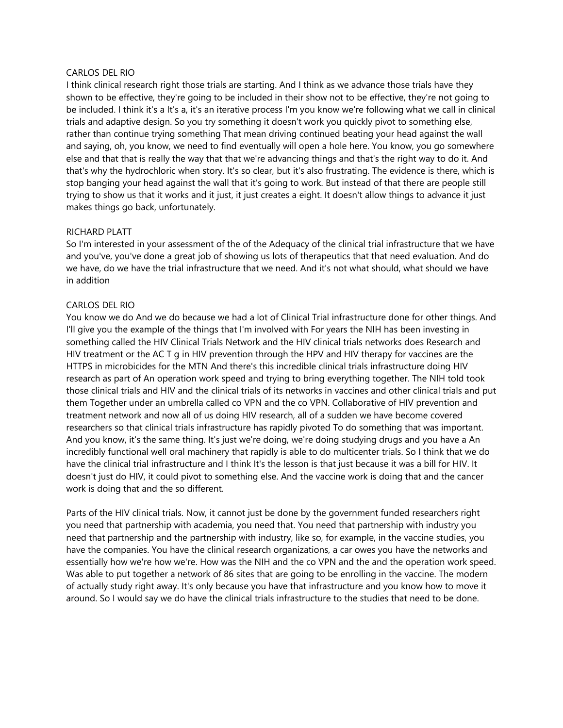### CARLOS DEL RIO

I think clinical research right those trials are starting. And I think as we advance those trials have they shown to be effective, they're going to be included in their show not to be effective, they're not going to be included. I think it's a It's a, it's an iterative process I'm you know we're following what we call in clinical trials and adaptive design. So you try something it doesn't work you quickly pivot to something else, rather than continue trying something That mean driving continued beating your head against the wall and saying, oh, you know, we need to find eventually will open a hole here. You know, you go somewhere else and that that is really the way that that we're advancing things and that's the right way to do it. And that's why the hydrochloric when story. It's so clear, but it's also frustrating. The evidence is there, which is stop banging your head against the wall that it's going to work. But instead of that there are people still trying to show us that it works and it just, it just creates a eight. It doesn't allow things to advance it just makes things go back, unfortunately.

## RICHARD PLATT

So I'm interested in your assessment of the of the Adequacy of the clinical trial infrastructure that we have and you've, you've done a great job of showing us lots of therapeutics that that need evaluation. And do we have, do we have the trial infrastructure that we need. And it's not what should, what should we have in addition

## CARLOS DEL RIO

You know we do And we do because we had a lot of Clinical Trial infrastructure done for other things. And I'll give you the example of the things that I'm involved with For years the NIH has been investing in something called the HIV Clinical Trials Network and the HIV clinical trials networks does Research and HIV treatment or the AC T g in HIV prevention through the HPV and HIV therapy for vaccines are the HTTPS in microbicides for the MTN And there's this incredible clinical trials infrastructure doing HIV research as part of An operation work speed and trying to bring everything together. The NIH told took those clinical trials and HIV and the clinical trials of its networks in vaccines and other clinical trials and put them Together under an umbrella called co VPN and the co VPN. Collaborative of HIV prevention and treatment network and now all of us doing HIV research, all of a sudden we have become covered researchers so that clinical trials infrastructure has rapidly pivoted To do something that was important. And you know, it's the same thing. It's just we're doing, we're doing studying drugs and you have a An incredibly functional well oral machinery that rapidly is able to do multicenter trials. So I think that we do have the clinical trial infrastructure and I think It's the lesson is that just because it was a bill for HIV. It doesn't just do HIV, it could pivot to something else. And the vaccine work is doing that and the cancer work is doing that and the so different.

Parts of the HIV clinical trials. Now, it cannot just be done by the government funded researchers right you need that partnership with academia, you need that. You need that partnership with industry you need that partnership and the partnership with industry, like so, for example, in the vaccine studies, you have the companies. You have the clinical research organizations, a car owes you have the networks and essentially how we're how we're. How was the NIH and the co VPN and the and the operation work speed. Was able to put together a network of 86 sites that are going to be enrolling in the vaccine. The modern of actually study right away. It's only because you have that infrastructure and you know how to move it around. So I would say we do have the clinical trials infrastructure to the studies that need to be done.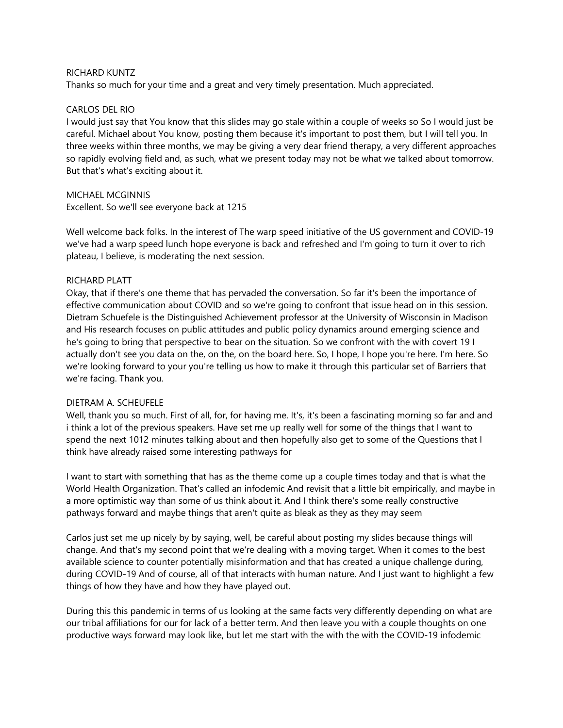### RICHARD KUNTZ

Thanks so much for your time and a great and very timely presentation. Much appreciated.

## CARLOS DEL RIO

I would just say that You know that this slides may go stale within a couple of weeks so So I would just be careful. Michael about You know, posting them because it's important to post them, but I will tell you. In three weeks within three months, we may be giving a very dear friend therapy, a very different approaches so rapidly evolving field and, as such, what we present today may not be what we talked about tomorrow. But that's what's exciting about it.

MICHAEL MCGINNIS Excellent. So we'll see everyone back at 1215

Well welcome back folks. In the interest of The warp speed initiative of the US government and COVID-19 we've had a warp speed lunch hope everyone is back and refreshed and I'm going to turn it over to rich plateau, I believe, is moderating the next session.

## RICHARD PLATT

Okay, that if there's one theme that has pervaded the conversation. So far it's been the importance of effective communication about COVID and so we're going to confront that issue head on in this session. Dietram Schuefele is the Distinguished Achievement professor at the University of Wisconsin in Madison and His research focuses on public attitudes and public policy dynamics around emerging science and he's going to bring that perspective to bear on the situation. So we confront with the with covert 19 I actually don't see you data on the, on the, on the board here. So, I hope, I hope you're here. I'm here. So we're looking forward to your you're telling us how to make it through this particular set of Barriers that we're facing. Thank you.

### DIETRAM A. SCHEUFELE

Well, thank you so much. First of all, for, for having me. It's, it's been a fascinating morning so far and and i think a lot of the previous speakers. Have set me up really well for some of the things that I want to spend the next 1012 minutes talking about and then hopefully also get to some of the Questions that I think have already raised some interesting pathways for

I want to start with something that has as the theme come up a couple times today and that is what the World Health Organization. That's called an infodemic And revisit that a little bit empirically, and maybe in a more optimistic way than some of us think about it. And I think there's some really constructive pathways forward and maybe things that aren't quite as bleak as they as they may seem

Carlos just set me up nicely by by saying, well, be careful about posting my slides because things will change. And that's my second point that we're dealing with a moving target. When it comes to the best available science to counter potentially misinformation and that has created a unique challenge during, during COVID-19 And of course, all of that interacts with human nature. And I just want to highlight a few things of how they have and how they have played out.

During this this pandemic in terms of us looking at the same facts very differently depending on what are our tribal affiliations for our for lack of a better term. And then leave you with a couple thoughts on one productive ways forward may look like, but let me start with the with the with the COVID-19 infodemic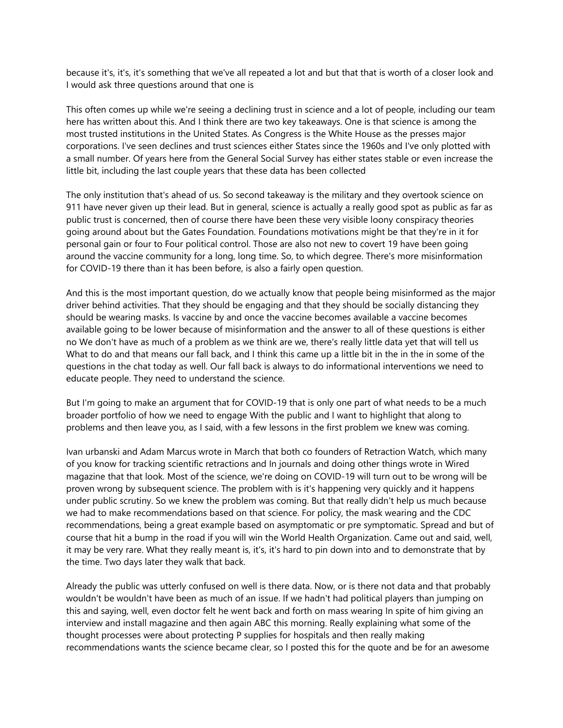because it's, it's, it's something that we've all repeated a lot and but that that is worth of a closer look and I would ask three questions around that one is

This often comes up while we're seeing a declining trust in science and a lot of people, including our team here has written about this. And I think there are two key takeaways. One is that science is among the most trusted institutions in the United States. As Congress is the White House as the presses major corporations. I've seen declines and trust sciences either States since the 1960s and I've only plotted with a small number. Of years here from the General Social Survey has either states stable or even increase the little bit, including the last couple years that these data has been collected

The only institution that's ahead of us. So second takeaway is the military and they overtook science on 911 have never given up their lead. But in general, science is actually a really good spot as public as far as public trust is concerned, then of course there have been these very visible loony conspiracy theories going around about but the Gates Foundation. Foundations motivations might be that they're in it for personal gain or four to Four political control. Those are also not new to covert 19 have been going around the vaccine community for a long, long time. So, to which degree. There's more misinformation for COVID-19 there than it has been before, is also a fairly open question.

And this is the most important question, do we actually know that people being misinformed as the major driver behind activities. That they should be engaging and that they should be socially distancing they should be wearing masks. Is vaccine by and once the vaccine becomes available a vaccine becomes available going to be lower because of misinformation and the answer to all of these questions is either no We don't have as much of a problem as we think are we, there's really little data yet that will tell us What to do and that means our fall back, and I think this came up a little bit in the in the in some of the questions in the chat today as well. Our fall back is always to do informational interventions we need to educate people. They need to understand the science.

But I'm going to make an argument that for COVID-19 that is only one part of what needs to be a much broader portfolio of how we need to engage With the public and I want to highlight that along to problems and then leave you, as I said, with a few lessons in the first problem we knew was coming.

Ivan urbanski and Adam Marcus wrote in March that both co founders of Retraction Watch, which many of you know for tracking scientific retractions and In journals and doing other things wrote in Wired magazine that that look. Most of the science, we're doing on COVID-19 will turn out to be wrong will be proven wrong by subsequent science. The problem with is it's happening very quickly and it happens under public scrutiny. So we knew the problem was coming. But that really didn't help us much because we had to make recommendations based on that science. For policy, the mask wearing and the CDC recommendations, being a great example based on asymptomatic or pre symptomatic. Spread and but of course that hit a bump in the road if you will win the World Health Organization. Came out and said, well, it may be very rare. What they really meant is, it's, it's hard to pin down into and to demonstrate that by the time. Two days later they walk that back.

Already the public was utterly confused on well is there data. Now, or is there not data and that probably wouldn't be wouldn't have been as much of an issue. If we hadn't had political players than jumping on this and saying, well, even doctor felt he went back and forth on mass wearing In spite of him giving an interview and install magazine and then again ABC this morning. Really explaining what some of the thought processes were about protecting P supplies for hospitals and then really making recommendations wants the science became clear, so I posted this for the quote and be for an awesome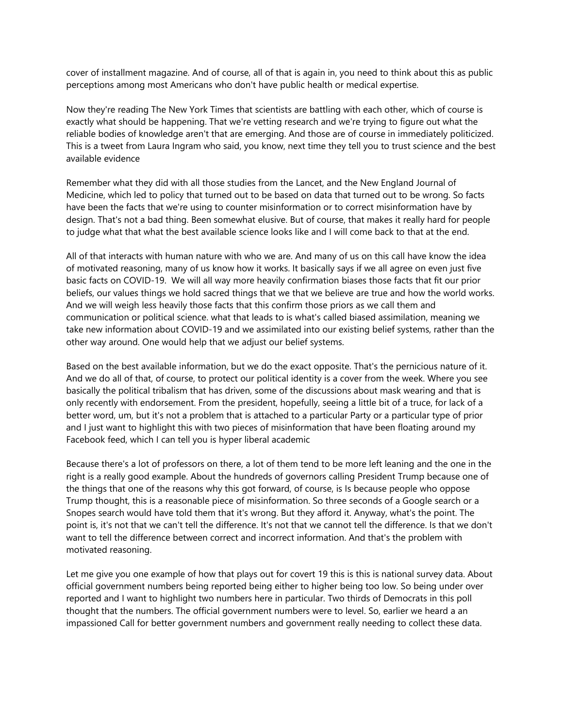cover of installment magazine. And of course, all of that is again in, you need to think about this as public perceptions among most Americans who don't have public health or medical expertise.

Now they're reading The New York Times that scientists are battling with each other, which of course is exactly what should be happening. That we're vetting research and we're trying to figure out what the reliable bodies of knowledge aren't that are emerging. And those are of course in immediately politicized. This is a tweet from Laura Ingram who said, you know, next time they tell you to trust science and the best available evidence

Remember what they did with all those studies from the Lancet, and the New England Journal of Medicine, which led to policy that turned out to be based on data that turned out to be wrong. So facts have been the facts that we're using to counter misinformation or to correct misinformation have by design. That's not a bad thing. Been somewhat elusive. But of course, that makes it really hard for people to judge what that what the best available science looks like and I will come back to that at the end.

All of that interacts with human nature with who we are. And many of us on this call have know the idea of motivated reasoning, many of us know how it works. It basically says if we all agree on even just five basic facts on COVID-19. We will all way more heavily confirmation biases those facts that fit our prior beliefs, our values things we hold sacred things that we that we believe are true and how the world works. And we will weigh less heavily those facts that this confirm those priors as we call them and communication or political science. what that leads to is what's called biased assimilation, meaning we take new information about COVID-19 and we assimilated into our existing belief systems, rather than the other way around. One would help that we adjust our belief systems.

Based on the best available information, but we do the exact opposite. That's the pernicious nature of it. And we do all of that, of course, to protect our political identity is a cover from the week. Where you see basically the political tribalism that has driven, some of the discussions about mask wearing and that is only recently with endorsement. From the president, hopefully, seeing a little bit of a truce, for lack of a better word, um, but it's not a problem that is attached to a particular Party or a particular type of prior and I just want to highlight this with two pieces of misinformation that have been floating around my Facebook feed, which I can tell you is hyper liberal academic

Because there's a lot of professors on there, a lot of them tend to be more left leaning and the one in the right is a really good example. About the hundreds of governors calling President Trump because one of the things that one of the reasons why this got forward, of course, is Is because people who oppose Trump thought, this is a reasonable piece of misinformation. So three seconds of a Google search or a Snopes search would have told them that it's wrong. But they afford it. Anyway, what's the point. The point is, it's not that we can't tell the difference. It's not that we cannot tell the difference. Is that we don't want to tell the difference between correct and incorrect information. And that's the problem with motivated reasoning.

Let me give you one example of how that plays out for covert 19 this is this is national survey data. About official government numbers being reported being either to higher being too low. So being under over reported and I want to highlight two numbers here in particular. Two thirds of Democrats in this poll thought that the numbers. The official government numbers were to level. So, earlier we heard a an impassioned Call for better government numbers and government really needing to collect these data.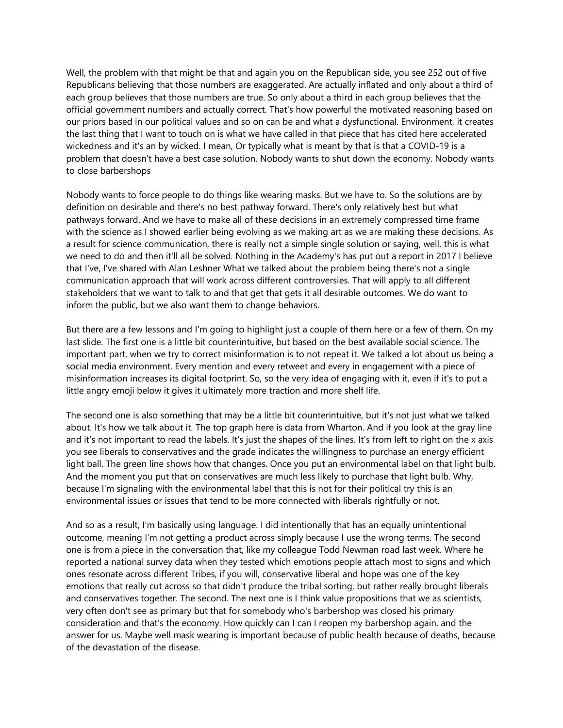Well, the problem with that might be that and again you on the Republican side, you see 252 out of five Republicans believing that those numbers are exaggerated. Are actually inflated and only about a third of each group believes that those numbers are true. So only about a third in each group believes that the official government numbers and actually correct. That's how powerful the motivated reasoning based on our priors based in our political values and so on can be and what a dysfunctional. Environment, it creates the last thing that I want to touch on is what we have called in that piece that has cited here accelerated wickedness and it's an by wicked. I mean, Or typically what is meant by that is that a COVID-19 is a problem that doesn't have a best case solution. Nobody wants to shut down the economy. Nobody wants to close barbershops

Nobody wants to force people to do things like wearing masks. But we have to. So the solutions are by definition on desirable and there's no best pathway forward. There's only relatively best but what pathways forward. And we have to make all of these decisions in an extremely compressed time frame with the science as I showed earlier being evolving as we making art as we are making these decisions. As a result for science communication, there is really not a simple single solution or saying, well, this is what we need to do and then it'll all be solved. Nothing in the Academy's has put out a report in 2017 I believe that I've, I've shared with Alan Leshner What we talked about the problem being there's not a single communication approach that will work across different controversies. That will apply to all different stakeholders that we want to talk to and that get that gets it all desirable outcomes. We do want to inform the public, but we also want them to change behaviors.

But there are a few lessons and I'm going to highlight just a couple of them here or a few of them. On my last slide. The first one is a little bit counterintuitive, but based on the best available social science. The important part, when we try to correct misinformation is to not repeat it. We talked a lot about us being a social media environment. Every mention and every retweet and every in engagement with a piece of misinformation increases its digital footprint. So, so the very idea of engaging with it, even if it's to put a little angry emoji below it gives it ultimately more traction and more shelf life.

The second one is also something that may be a little bit counterintuitive, but it's not just what we talked about. It's how we talk about it. The top graph here is data from Wharton. And if you look at the gray line and it's not important to read the labels. It's just the shapes of the lines. It's from left to right on the x axis you see liberals to conservatives and the grade indicates the willingness to purchase an energy efficient light ball. The green line shows how that changes. Once you put an environmental label on that light bulb. And the moment you put that on conservatives are much less likely to purchase that light bulb. Why, because I'm signaling with the environmental label that this is not for their political try this is an environmental issues or issues that tend to be more connected with liberals rightfully or not.

And so as a result, I'm basically using language. I did intentionally that has an equally unintentional outcome, meaning I'm not getting a product across simply because I use the wrong terms. The second one is from a piece in the conversation that, like my colleague Todd Newman road last week. Where he reported a national survey data when they tested which emotions people attach most to signs and which ones resonate across different Tribes, if you will, conservative liberal and hope was one of the key emotions that really cut across so that didn't produce the tribal sorting, but rather really brought liberals and conservatives together. The second. The next one is I think value propositions that we as scientists, very often don't see as primary but that for somebody who's barbershop was closed his primary consideration and that's the economy. How quickly can I can I reopen my barbershop again. and the answer for us. Maybe well mask wearing is important because of public health because of deaths, because of the devastation of the disease.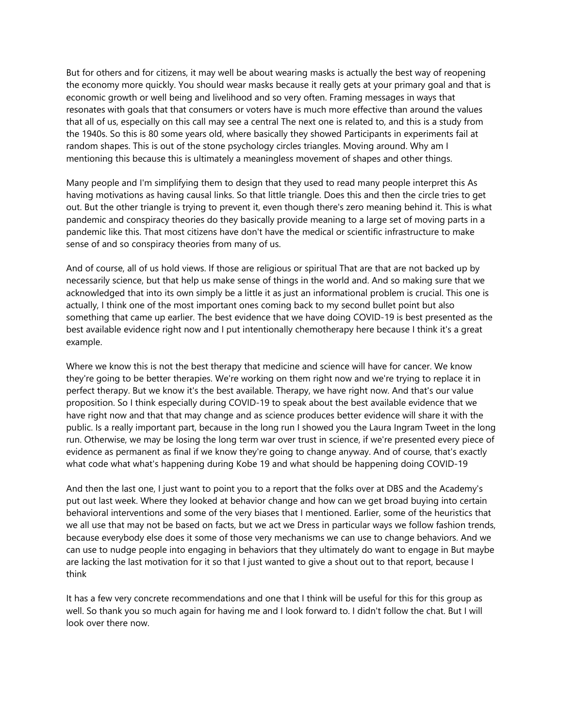But for others and for citizens, it may well be about wearing masks is actually the best way of reopening the economy more quickly. You should wear masks because it really gets at your primary goal and that is economic growth or well being and livelihood and so very often. Framing messages in ways that resonates with goals that that consumers or voters have is much more effective than around the values that all of us, especially on this call may see a central The next one is related to, and this is a study from the 1940s. So this is 80 some years old, where basically they showed Participants in experiments fail at random shapes. This is out of the stone psychology circles triangles. Moving around. Why am I mentioning this because this is ultimately a meaningless movement of shapes and other things.

Many people and I'm simplifying them to design that they used to read many people interpret this As having motivations as having causal links. So that little triangle. Does this and then the circle tries to get out. But the other triangle is trying to prevent it, even though there's zero meaning behind it. This is what pandemic and conspiracy theories do they basically provide meaning to a large set of moving parts in a pandemic like this. That most citizens have don't have the medical or scientific infrastructure to make sense of and so conspiracy theories from many of us.

And of course, all of us hold views. If those are religious or spiritual That are that are not backed up by necessarily science, but that help us make sense of things in the world and. And so making sure that we acknowledged that into its own simply be a little it as just an informational problem is crucial. This one is actually, I think one of the most important ones coming back to my second bullet point but also something that came up earlier. The best evidence that we have doing COVID-19 is best presented as the best available evidence right now and I put intentionally chemotherapy here because I think it's a great example.

Where we know this is not the best therapy that medicine and science will have for cancer. We know they're going to be better therapies. We're working on them right now and we're trying to replace it in perfect therapy. But we know it's the best available. Therapy, we have right now. And that's our value proposition. So I think especially during COVID-19 to speak about the best available evidence that we have right now and that that may change and as science produces better evidence will share it with the public. Is a really important part, because in the long run I showed you the Laura Ingram Tweet in the long run. Otherwise, we may be losing the long term war over trust in science, if we're presented every piece of evidence as permanent as final if we know they're going to change anyway. And of course, that's exactly what code what what's happening during Kobe 19 and what should be happening doing COVID-19

And then the last one, I just want to point you to a report that the folks over at DBS and the Academy's put out last week. Where they looked at behavior change and how can we get broad buying into certain behavioral interventions and some of the very biases that I mentioned. Earlier, some of the heuristics that we all use that may not be based on facts, but we act we Dress in particular ways we follow fashion trends, because everybody else does it some of those very mechanisms we can use to change behaviors. And we can use to nudge people into engaging in behaviors that they ultimately do want to engage in But maybe are lacking the last motivation for it so that I just wanted to give a shout out to that report, because I think

It has a few very concrete recommendations and one that I think will be useful for this for this group as well. So thank you so much again for having me and I look forward to. I didn't follow the chat. But I will look over there now.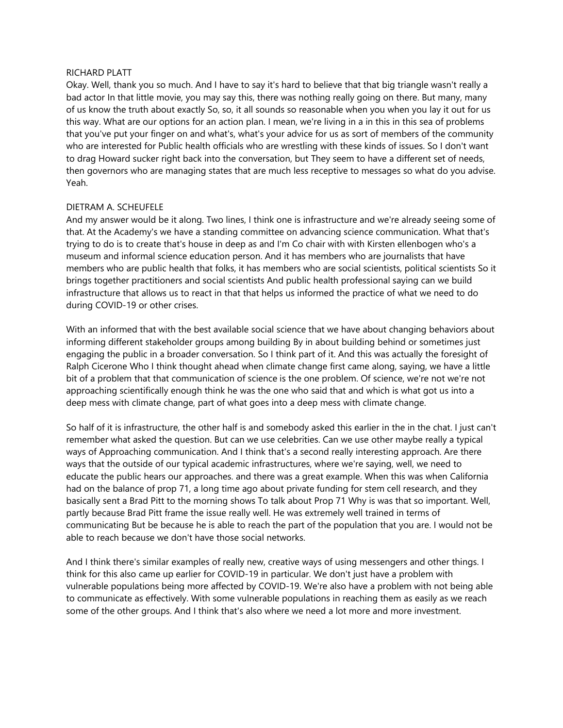### RICHARD PLATT

Okay. Well, thank you so much. And I have to say it's hard to believe that that big triangle wasn't really a bad actor In that little movie, you may say this, there was nothing really going on there. But many, many of us know the truth about exactly So, so, it all sounds so reasonable when you when you lay it out for us this way. What are our options for an action plan. I mean, we're living in a in this in this sea of problems that you've put your finger on and what's, what's your advice for us as sort of members of the community who are interested for Public health officials who are wrestling with these kinds of issues. So I don't want to drag Howard sucker right back into the conversation, but They seem to have a different set of needs, then governors who are managing states that are much less receptive to messages so what do you advise. Yeah.

# DIETRAM A. SCHEUFELE

And my answer would be it along. Two lines, I think one is infrastructure and we're already seeing some of that. At the Academy's we have a standing committee on advancing science communication. What that's trying to do is to create that's house in deep as and I'm Co chair with with Kirsten ellenbogen who's a museum and informal science education person. And it has members who are journalists that have members who are public health that folks, it has members who are social scientists, political scientists So it brings together practitioners and social scientists And public health professional saying can we build infrastructure that allows us to react in that that helps us informed the practice of what we need to do during COVID-19 or other crises.

With an informed that with the best available social science that we have about changing behaviors about informing different stakeholder groups among building By in about building behind or sometimes just engaging the public in a broader conversation. So I think part of it. And this was actually the foresight of Ralph Cicerone Who I think thought ahead when climate change first came along, saying, we have a little bit of a problem that that communication of science is the one problem. Of science, we're not we're not approaching scientifically enough think he was the one who said that and which is what got us into a deep mess with climate change, part of what goes into a deep mess with climate change.

So half of it is infrastructure, the other half is and somebody asked this earlier in the in the chat. I just can't remember what asked the question. But can we use celebrities. Can we use other maybe really a typical ways of Approaching communication. And I think that's a second really interesting approach. Are there ways that the outside of our typical academic infrastructures, where we're saying, well, we need to educate the public hears our approaches. and there was a great example. When this was when California had on the balance of prop 71, a long time ago about private funding for stem cell research, and they basically sent a Brad Pitt to the morning shows To talk about Prop 71 Why is was that so important. Well, partly because Brad Pitt frame the issue really well. He was extremely well trained in terms of communicating But be because he is able to reach the part of the population that you are. I would not be able to reach because we don't have those social networks.

And I think there's similar examples of really new, creative ways of using messengers and other things. I think for this also came up earlier for COVID-19 in particular. We don't just have a problem with vulnerable populations being more affected by COVID-19. We're also have a problem with not being able to communicate as effectively. With some vulnerable populations in reaching them as easily as we reach some of the other groups. And I think that's also where we need a lot more and more investment.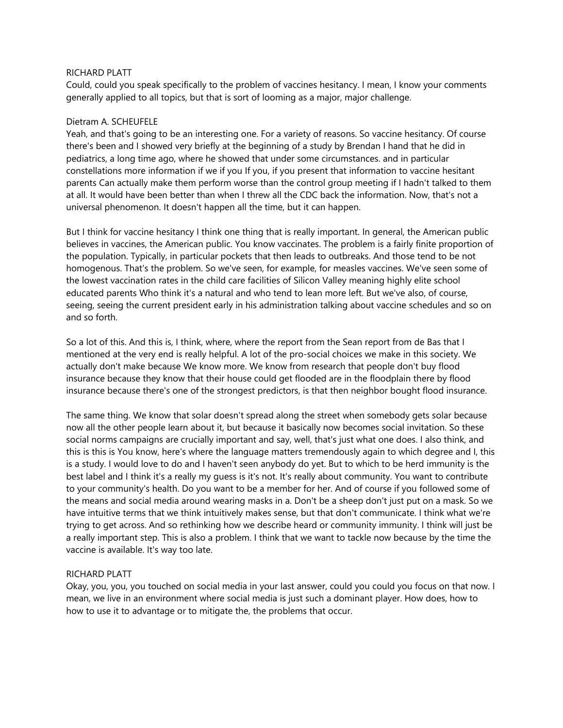### RICHARD PLATT

Could, could you speak specifically to the problem of vaccines hesitancy. I mean, I know your comments generally applied to all topics, but that is sort of looming as a major, major challenge.

### Dietram A. SCHEUFELE

Yeah, and that's going to be an interesting one. For a variety of reasons. So vaccine hesitancy. Of course there's been and I showed very briefly at the beginning of a study by Brendan I hand that he did in pediatrics, a long time ago, where he showed that under some circumstances. and in particular constellations more information if we if you If you, if you present that information to vaccine hesitant parents Can actually make them perform worse than the control group meeting if I hadn't talked to them at all. It would have been better than when I threw all the CDC back the information. Now, that's not a universal phenomenon. It doesn't happen all the time, but it can happen.

But I think for vaccine hesitancy I think one thing that is really important. In general, the American public believes in vaccines, the American public. You know vaccinates. The problem is a fairly finite proportion of the population. Typically, in particular pockets that then leads to outbreaks. And those tend to be not homogenous. That's the problem. So we've seen, for example, for measles vaccines. We've seen some of the lowest vaccination rates in the child care facilities of Silicon Valley meaning highly elite school educated parents Who think it's a natural and who tend to lean more left. But we've also, of course, seeing, seeing the current president early in his administration talking about vaccine schedules and so on and so forth.

So a lot of this. And this is, I think, where, where the report from the Sean report from de Bas that I mentioned at the very end is really helpful. A lot of the pro-social choices we make in this society. We actually don't make because We know more. We know from research that people don't buy flood insurance because they know that their house could get flooded are in the floodplain there by flood insurance because there's one of the strongest predictors, is that then neighbor bought flood insurance.

The same thing. We know that solar doesn't spread along the street when somebody gets solar because now all the other people learn about it, but because it basically now becomes social invitation. So these social norms campaigns are crucially important and say, well, that's just what one does. I also think, and this is this is You know, here's where the language matters tremendously again to which degree and I, this is a study. I would love to do and I haven't seen anybody do yet. But to which to be herd immunity is the best label and I think it's a really my guess is it's not. It's really about community. You want to contribute to your community's health. Do you want to be a member for her. And of course if you followed some of the means and social media around wearing masks in a. Don't be a sheep don't just put on a mask. So we have intuitive terms that we think intuitively makes sense, but that don't communicate. I think what we're trying to get across. And so rethinking how we describe heard or community immunity. I think will just be a really important step. This is also a problem. I think that we want to tackle now because by the time the vaccine is available. It's way too late.

# RICHARD PLATT

Okay, you, you, you touched on social media in your last answer, could you could you focus on that now. I mean, we live in an environment where social media is just such a dominant player. How does, how to how to use it to advantage or to mitigate the, the problems that occur.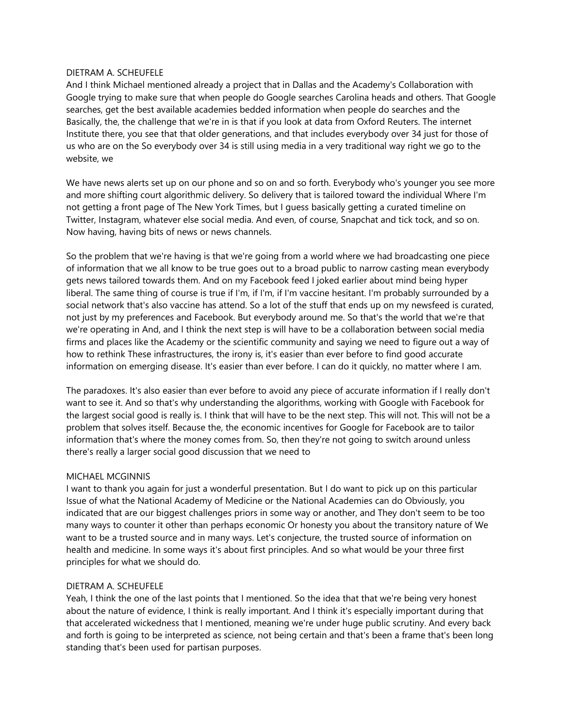## DIETRAM A. SCHEUFELE

And I think Michael mentioned already a project that in Dallas and the Academy's Collaboration with Google trying to make sure that when people do Google searches Carolina heads and others. That Google searches, get the best available academies bedded information when people do searches and the Basically, the, the challenge that we're in is that if you look at data from Oxford Reuters. The internet Institute there, you see that that older generations, and that includes everybody over 34 just for those of us who are on the So everybody over 34 is still using media in a very traditional way right we go to the website, we

We have news alerts set up on our phone and so on and so forth. Everybody who's younger you see more and more shifting court algorithmic delivery. So delivery that is tailored toward the individual Where I'm not getting a front page of The New York Times, but I guess basically getting a curated timeline on Twitter, Instagram, whatever else social media. And even, of course, Snapchat and tick tock, and so on. Now having, having bits of news or news channels.

So the problem that we're having is that we're going from a world where we had broadcasting one piece of information that we all know to be true goes out to a broad public to narrow casting mean everybody gets news tailored towards them. And on my Facebook feed I joked earlier about mind being hyper liberal. The same thing of course is true if I'm, if I'm, if I'm vaccine hesitant. I'm probably surrounded by a social network that's also vaccine has attend. So a lot of the stuff that ends up on my newsfeed is curated, not just by my preferences and Facebook. But everybody around me. So that's the world that we're that we're operating in And, and I think the next step is will have to be a collaboration between social media firms and places like the Academy or the scientific community and saying we need to figure out a way of how to rethink These infrastructures, the irony is, it's easier than ever before to find good accurate information on emerging disease. It's easier than ever before. I can do it quickly, no matter where I am.

The paradoxes. It's also easier than ever before to avoid any piece of accurate information if I really don't want to see it. And so that's why understanding the algorithms, working with Google with Facebook for the largest social good is really is. I think that will have to be the next step. This will not. This will not be a problem that solves itself. Because the, the economic incentives for Google for Facebook are to tailor information that's where the money comes from. So, then they're not going to switch around unless there's really a larger social good discussion that we need to

# MICHAEL MCGINNIS

I want to thank you again for just a wonderful presentation. But I do want to pick up on this particular Issue of what the National Academy of Medicine or the National Academies can do Obviously, you indicated that are our biggest challenges priors in some way or another, and They don't seem to be too many ways to counter it other than perhaps economic Or honesty you about the transitory nature of We want to be a trusted source and in many ways. Let's conjecture, the trusted source of information on health and medicine. In some ways it's about first principles. And so what would be your three first principles for what we should do.

# DIETRAM A. SCHEUFELE

Yeah, I think the one of the last points that I mentioned. So the idea that that we're being very honest about the nature of evidence, I think is really important. And I think it's especially important during that that accelerated wickedness that I mentioned, meaning we're under huge public scrutiny. And every back and forth is going to be interpreted as science, not being certain and that's been a frame that's been long standing that's been used for partisan purposes.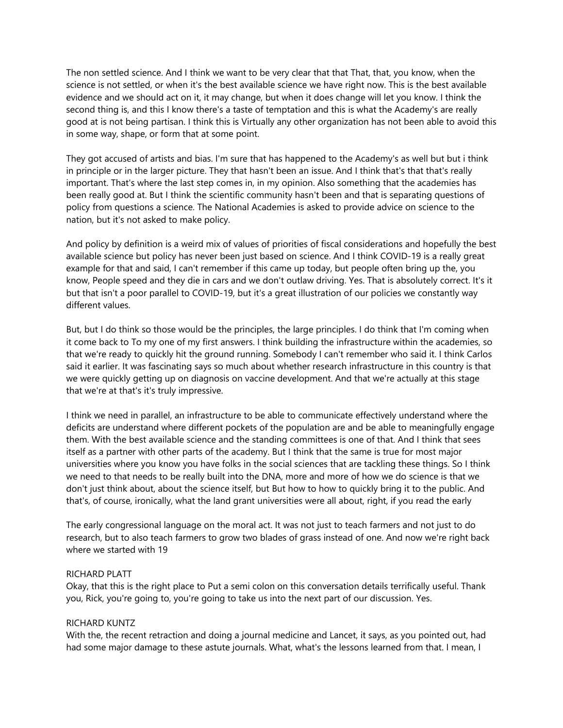The non settled science. And I think we want to be very clear that that That, that, you know, when the science is not settled, or when it's the best available science we have right now. This is the best available evidence and we should act on it, it may change, but when it does change will let you know. I think the second thing is, and this I know there's a taste of temptation and this is what the Academy's are really good at is not being partisan. I think this is Virtually any other organization has not been able to avoid this in some way, shape, or form that at some point.

They got accused of artists and bias. I'm sure that has happened to the Academy's as well but but i think in principle or in the larger picture. They that hasn't been an issue. And I think that's that that's really important. That's where the last step comes in, in my opinion. Also something that the academies has been really good at. But I think the scientific community hasn't been and that is separating questions of policy from questions a science. The National Academies is asked to provide advice on science to the nation, but it's not asked to make policy.

And policy by definition is a weird mix of values of priorities of fiscal considerations and hopefully the best available science but policy has never been just based on science. And I think COVID-19 is a really great example for that and said, I can't remember if this came up today, but people often bring up the, you know, People speed and they die in cars and we don't outlaw driving. Yes. That is absolutely correct. It's it but that isn't a poor parallel to COVID-19, but it's a great illustration of our policies we constantly way different values.

But, but I do think so those would be the principles, the large principles. I do think that I'm coming when it come back to To my one of my first answers. I think building the infrastructure within the academies, so that we're ready to quickly hit the ground running. Somebody I can't remember who said it. I think Carlos said it earlier. It was fascinating says so much about whether research infrastructure in this country is that we were quickly getting up on diagnosis on vaccine development. And that we're actually at this stage that we're at that's it's truly impressive.

I think we need in parallel, an infrastructure to be able to communicate effectively understand where the deficits are understand where different pockets of the population are and be able to meaningfully engage them. With the best available science and the standing committees is one of that. And I think that sees itself as a partner with other parts of the academy. But I think that the same is true for most major universities where you know you have folks in the social sciences that are tackling these things. So I think we need to that needs to be really built into the DNA, more and more of how we do science is that we don't just think about, about the science itself, but But how to how to quickly bring it to the public. And that's, of course, ironically, what the land grant universities were all about, right, if you read the early

The early congressional language on the moral act. It was not just to teach farmers and not just to do research, but to also teach farmers to grow two blades of grass instead of one. And now we're right back where we started with 19

### RICHARD PLATT

Okay, that this is the right place to Put a semi colon on this conversation details terrifically useful. Thank you, Rick, you're going to, you're going to take us into the next part of our discussion. Yes.

## RICHARD KUNTZ

With the, the recent retraction and doing a journal medicine and Lancet, it says, as you pointed out, had had some major damage to these astute journals. What, what's the lessons learned from that. I mean, I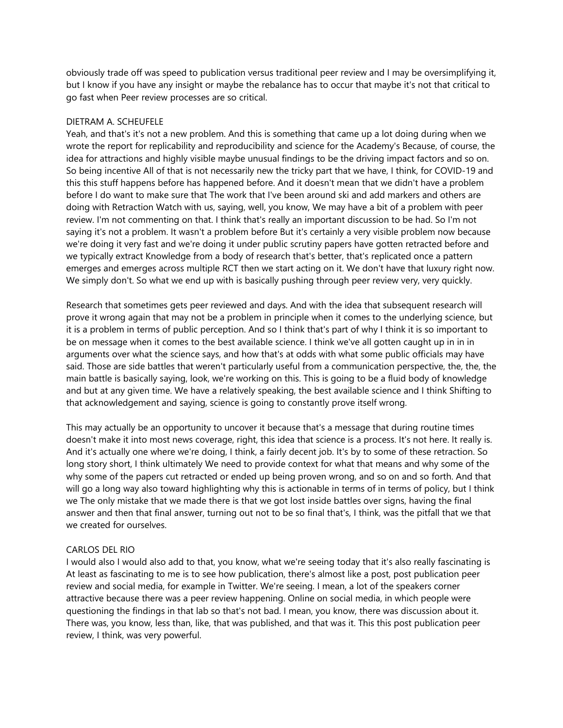obviously trade off was speed to publication versus traditional peer review and I may be oversimplifying it, but I know if you have any insight or maybe the rebalance has to occur that maybe it's not that critical to go fast when Peer review processes are so critical.

## DIETRAM A. SCHEUFELE

Yeah, and that's it's not a new problem. And this is something that came up a lot doing during when we wrote the report for replicability and reproducibility and science for the Academy's Because, of course, the idea for attractions and highly visible maybe unusual findings to be the driving impact factors and so on. So being incentive All of that is not necessarily new the tricky part that we have, I think, for COVID-19 and this this stuff happens before has happened before. And it doesn't mean that we didn't have a problem before I do want to make sure that The work that I've been around ski and add markers and others are doing with Retraction Watch with us, saying, well, you know, We may have a bit of a problem with peer review. I'm not commenting on that. I think that's really an important discussion to be had. So I'm not saying it's not a problem. It wasn't a problem before But it's certainly a very visible problem now because we're doing it very fast and we're doing it under public scrutiny papers have gotten retracted before and we typically extract Knowledge from a body of research that's better, that's replicated once a pattern emerges and emerges across multiple RCT then we start acting on it. We don't have that luxury right now. We simply don't. So what we end up with is basically pushing through peer review very, very quickly.

Research that sometimes gets peer reviewed and days. And with the idea that subsequent research will prove it wrong again that may not be a problem in principle when it comes to the underlying science, but it is a problem in terms of public perception. And so I think that's part of why I think it is so important to be on message when it comes to the best available science. I think we've all gotten caught up in in in arguments over what the science says, and how that's at odds with what some public officials may have said. Those are side battles that weren't particularly useful from a communication perspective, the, the, the main battle is basically saying, look, we're working on this. This is going to be a fluid body of knowledge and but at any given time. We have a relatively speaking, the best available science and I think Shifting to that acknowledgement and saying, science is going to constantly prove itself wrong.

This may actually be an opportunity to uncover it because that's a message that during routine times doesn't make it into most news coverage, right, this idea that science is a process. It's not here. It really is. And it's actually one where we're doing, I think, a fairly decent job. It's by to some of these retraction. So long story short, I think ultimately We need to provide context for what that means and why some of the why some of the papers cut retracted or ended up being proven wrong, and so on and so forth. And that will go a long way also toward highlighting why this is actionable in terms of in terms of policy, but I think we The only mistake that we made there is that we got lost inside battles over signs, having the final answer and then that final answer, turning out not to be so final that's, I think, was the pitfall that we that we created for ourselves.

### CARLOS DEL RIO

I would also I would also add to that, you know, what we're seeing today that it's also really fascinating is At least as fascinating to me is to see how publication, there's almost like a post, post publication peer review and social media, for example in Twitter. We're seeing. I mean, a lot of the speakers corner attractive because there was a peer review happening. Online on social media, in which people were questioning the findings in that lab so that's not bad. I mean, you know, there was discussion about it. There was, you know, less than, like, that was published, and that was it. This this post publication peer review, I think, was very powerful.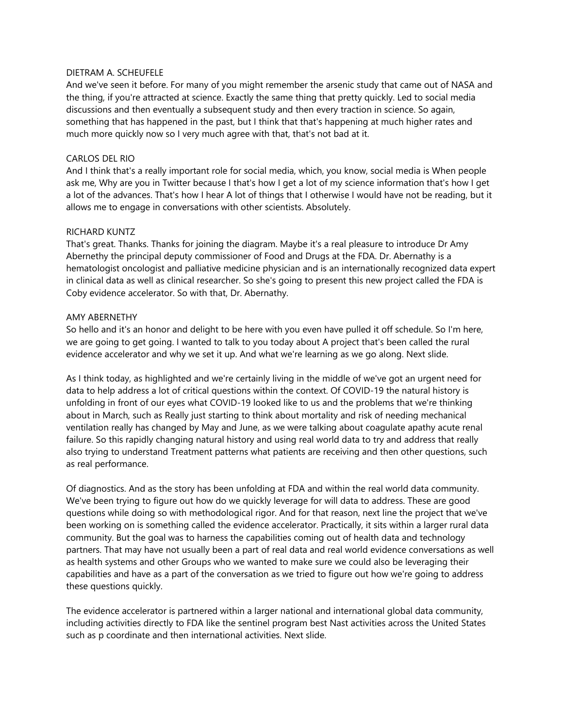## DIETRAM A. SCHEUFELE

And we've seen it before. For many of you might remember the arsenic study that came out of NASA and the thing, if you're attracted at science. Exactly the same thing that pretty quickly. Led to social media discussions and then eventually a subsequent study and then every traction in science. So again, something that has happened in the past, but I think that that's happening at much higher rates and much more quickly now so I very much agree with that, that's not bad at it.

## CARLOS DEL RIO

And I think that's a really important role for social media, which, you know, social media is When people ask me, Why are you in Twitter because I that's how I get a lot of my science information that's how I get a lot of the advances. That's how I hear A lot of things that I otherwise I would have not be reading, but it allows me to engage in conversations with other scientists. Absolutely.

## RICHARD KUNTZ

That's great. Thanks. Thanks for joining the diagram. Maybe it's a real pleasure to introduce Dr Amy Abernethy the principal deputy commissioner of Food and Drugs at the FDA. Dr. Abernathy is a hematologist oncologist and palliative medicine physician and is an internationally recognized data expert in clinical data as well as clinical researcher. So she's going to present this new project called the FDA is Coby evidence accelerator. So with that, Dr. Abernathy.

## AMY ABERNETHY

So hello and it's an honor and delight to be here with you even have pulled it off schedule. So I'm here, we are going to get going. I wanted to talk to you today about A project that's been called the rural evidence accelerator and why we set it up. And what we're learning as we go along. Next slide.

As I think today, as highlighted and we're certainly living in the middle of we've got an urgent need for data to help address a lot of critical questions within the context. Of COVID-19 the natural history is unfolding in front of our eyes what COVID-19 looked like to us and the problems that we're thinking about in March, such as Really just starting to think about mortality and risk of needing mechanical ventilation really has changed by May and June, as we were talking about coagulate apathy acute renal failure. So this rapidly changing natural history and using real world data to try and address that really also trying to understand Treatment patterns what patients are receiving and then other questions, such as real performance.

Of diagnostics. And as the story has been unfolding at FDA and within the real world data community. We've been trying to figure out how do we quickly leverage for will data to address. These are good questions while doing so with methodological rigor. And for that reason, next line the project that we've been working on is something called the evidence accelerator. Practically, it sits within a larger rural data community. But the goal was to harness the capabilities coming out of health data and technology partners. That may have not usually been a part of real data and real world evidence conversations as well as health systems and other Groups who we wanted to make sure we could also be leveraging their capabilities and have as a part of the conversation as we tried to figure out how we're going to address these questions quickly.

The evidence accelerator is partnered within a larger national and international global data community, including activities directly to FDA like the sentinel program best Nast activities across the United States such as p coordinate and then international activities. Next slide.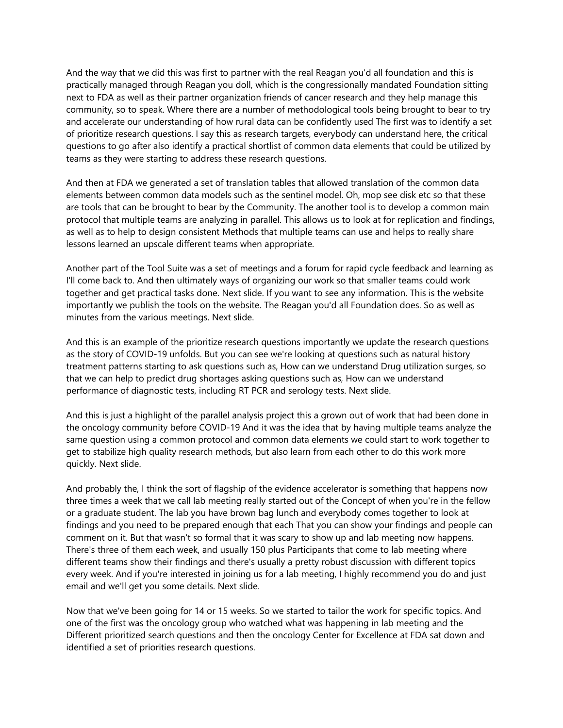And the way that we did this was first to partner with the real Reagan you'd all foundation and this is practically managed through Reagan you doll, which is the congressionally mandated Foundation sitting next to FDA as well as their partner organization friends of cancer research and they help manage this community, so to speak. Where there are a number of methodological tools being brought to bear to try and accelerate our understanding of how rural data can be confidently used The first was to identify a set of prioritize research questions. I say this as research targets, everybody can understand here, the critical questions to go after also identify a practical shortlist of common data elements that could be utilized by teams as they were starting to address these research questions.

And then at FDA we generated a set of translation tables that allowed translation of the common data elements between common data models such as the sentinel model. Oh, mop see disk etc so that these are tools that can be brought to bear by the Community. The another tool is to develop a common main protocol that multiple teams are analyzing in parallel. This allows us to look at for replication and findings, as well as to help to design consistent Methods that multiple teams can use and helps to really share lessons learned an upscale different teams when appropriate.

Another part of the Tool Suite was a set of meetings and a forum for rapid cycle feedback and learning as I'll come back to. And then ultimately ways of organizing our work so that smaller teams could work together and get practical tasks done. Next slide. If you want to see any information. This is the website importantly we publish the tools on the website. The Reagan you'd all Foundation does. So as well as minutes from the various meetings. Next slide.

And this is an example of the prioritize research questions importantly we update the research questions as the story of COVID-19 unfolds. But you can see we're looking at questions such as natural history treatment patterns starting to ask questions such as, How can we understand Drug utilization surges, so that we can help to predict drug shortages asking questions such as, How can we understand performance of diagnostic tests, including RT PCR and serology tests. Next slide.

And this is just a highlight of the parallel analysis project this a grown out of work that had been done in the oncology community before COVID-19 And it was the idea that by having multiple teams analyze the same question using a common protocol and common data elements we could start to work together to get to stabilize high quality research methods, but also learn from each other to do this work more quickly. Next slide.

And probably the, I think the sort of flagship of the evidence accelerator is something that happens now three times a week that we call lab meeting really started out of the Concept of when you're in the fellow or a graduate student. The lab you have brown bag lunch and everybody comes together to look at findings and you need to be prepared enough that each That you can show your findings and people can comment on it. But that wasn't so formal that it was scary to show up and lab meeting now happens. There's three of them each week, and usually 150 plus Participants that come to lab meeting where different teams show their findings and there's usually a pretty robust discussion with different topics every week. And if you're interested in joining us for a lab meeting, I highly recommend you do and just email and we'll get you some details. Next slide.

Now that we've been going for 14 or 15 weeks. So we started to tailor the work for specific topics. And one of the first was the oncology group who watched what was happening in lab meeting and the Different prioritized search questions and then the oncology Center for Excellence at FDA sat down and identified a set of priorities research questions.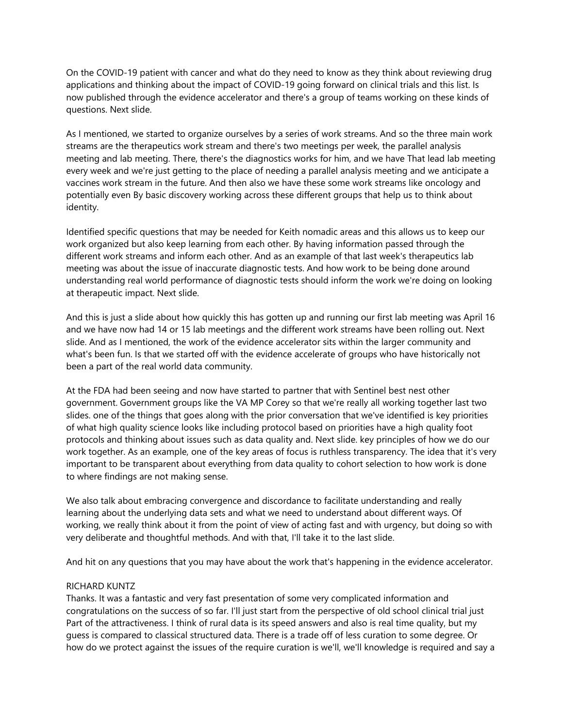On the COVID-19 patient with cancer and what do they need to know as they think about reviewing drug applications and thinking about the impact of COVID-19 going forward on clinical trials and this list. Is now published through the evidence accelerator and there's a group of teams working on these kinds of questions. Next slide.

As I mentioned, we started to organize ourselves by a series of work streams. And so the three main work streams are the therapeutics work stream and there's two meetings per week, the parallel analysis meeting and lab meeting. There, there's the diagnostics works for him, and we have That lead lab meeting every week and we're just getting to the place of needing a parallel analysis meeting and we anticipate a vaccines work stream in the future. And then also we have these some work streams like oncology and potentially even By basic discovery working across these different groups that help us to think about identity.

Identified specific questions that may be needed for Keith nomadic areas and this allows us to keep our work organized but also keep learning from each other. By having information passed through the different work streams and inform each other. And as an example of that last week's therapeutics lab meeting was about the issue of inaccurate diagnostic tests. And how work to be being done around understanding real world performance of diagnostic tests should inform the work we're doing on looking at therapeutic impact. Next slide.

And this is just a slide about how quickly this has gotten up and running our first lab meeting was April 16 and we have now had 14 or 15 lab meetings and the different work streams have been rolling out. Next slide. And as I mentioned, the work of the evidence accelerator sits within the larger community and what's been fun. Is that we started off with the evidence accelerate of groups who have historically not been a part of the real world data community.

At the FDA had been seeing and now have started to partner that with Sentinel best nest other government. Government groups like the VA MP Corey so that we're really all working together last two slides. one of the things that goes along with the prior conversation that we've identified is key priorities of what high quality science looks like including protocol based on priorities have a high quality foot protocols and thinking about issues such as data quality and. Next slide. key principles of how we do our work together. As an example, one of the key areas of focus is ruthless transparency. The idea that it's very important to be transparent about everything from data quality to cohort selection to how work is done to where findings are not making sense.

We also talk about embracing convergence and discordance to facilitate understanding and really learning about the underlying data sets and what we need to understand about different ways. Of working, we really think about it from the point of view of acting fast and with urgency, but doing so with very deliberate and thoughtful methods. And with that, I'll take it to the last slide.

And hit on any questions that you may have about the work that's happening in the evidence accelerator.

# RICHARD KUNTZ

Thanks. It was a fantastic and very fast presentation of some very complicated information and congratulations on the success of so far. I'll just start from the perspective of old school clinical trial just Part of the attractiveness. I think of rural data is its speed answers and also is real time quality, but my guess is compared to classical structured data. There is a trade off of less curation to some degree. Or how do we protect against the issues of the require curation is we'll, we'll knowledge is required and say a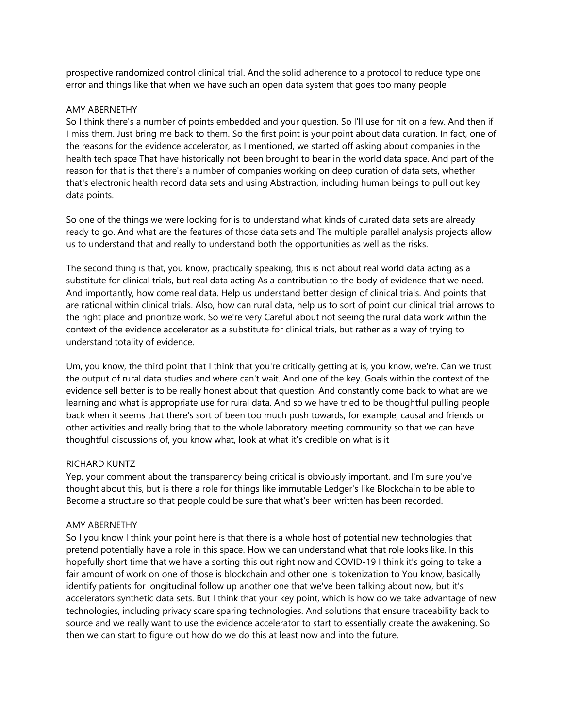prospective randomized control clinical trial. And the solid adherence to a protocol to reduce type one error and things like that when we have such an open data system that goes too many people

#### AMY ABERNETHY

So I think there's a number of points embedded and your question. So I'll use for hit on a few. And then if I miss them. Just bring me back to them. So the first point is your point about data curation. In fact, one of the reasons for the evidence accelerator, as I mentioned, we started off asking about companies in the health tech space That have historically not been brought to bear in the world data space. And part of the reason for that is that there's a number of companies working on deep curation of data sets, whether that's electronic health record data sets and using Abstraction, including human beings to pull out key data points.

So one of the things we were looking for is to understand what kinds of curated data sets are already ready to go. And what are the features of those data sets and The multiple parallel analysis projects allow us to understand that and really to understand both the opportunities as well as the risks.

The second thing is that, you know, practically speaking, this is not about real world data acting as a substitute for clinical trials, but real data acting As a contribution to the body of evidence that we need. And importantly, how come real data. Help us understand better design of clinical trials. And points that are rational within clinical trials. Also, how can rural data, help us to sort of point our clinical trial arrows to the right place and prioritize work. So we're very Careful about not seeing the rural data work within the context of the evidence accelerator as a substitute for clinical trials, but rather as a way of trying to understand totality of evidence.

Um, you know, the third point that I think that you're critically getting at is, you know, we're. Can we trust the output of rural data studies and where can't wait. And one of the key. Goals within the context of the evidence sell better is to be really honest about that question. And constantly come back to what are we learning and what is appropriate use for rural data. And so we have tried to be thoughtful pulling people back when it seems that there's sort of been too much push towards, for example, causal and friends or other activities and really bring that to the whole laboratory meeting community so that we can have thoughtful discussions of, you know what, look at what it's credible on what is it

### RICHARD KUNTZ

Yep, your comment about the transparency being critical is obviously important, and I'm sure you've thought about this, but is there a role for things like immutable Ledger's like Blockchain to be able to Become a structure so that people could be sure that what's been written has been recorded.

### AMY ABERNETHY

So I you know I think your point here is that there is a whole host of potential new technologies that pretend potentially have a role in this space. How we can understand what that role looks like. In this hopefully short time that we have a sorting this out right now and COVID-19 I think it's going to take a fair amount of work on one of those is blockchain and other one is tokenization to You know, basically identify patients for longitudinal follow up another one that we've been talking about now, but it's accelerators synthetic data sets. But I think that your key point, which is how do we take advantage of new technologies, including privacy scare sparing technologies. And solutions that ensure traceability back to source and we really want to use the evidence accelerator to start to essentially create the awakening. So then we can start to figure out how do we do this at least now and into the future.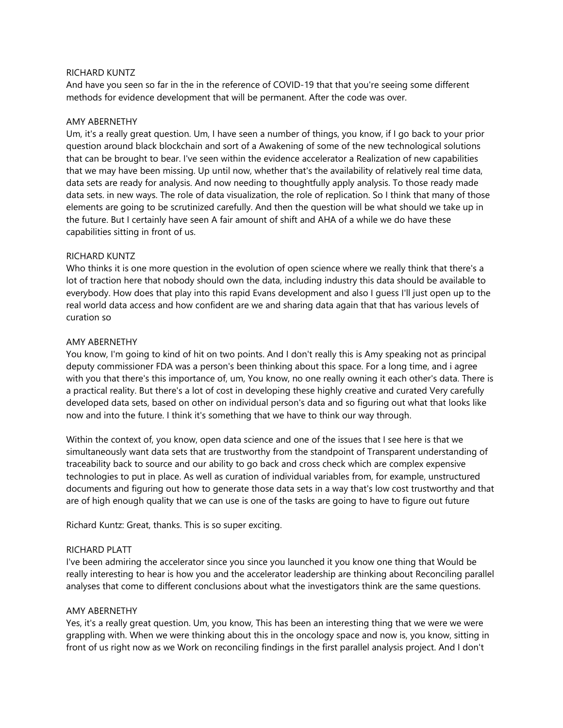### RICHARD KUNTZ

And have you seen so far in the in the reference of COVID-19 that that you're seeing some different methods for evidence development that will be permanent. After the code was over.

#### AMY ABERNETHY

Um, it's a really great question. Um, I have seen a number of things, you know, if I go back to your prior question around black blockchain and sort of a Awakening of some of the new technological solutions that can be brought to bear. I've seen within the evidence accelerator a Realization of new capabilities that we may have been missing. Up until now, whether that's the availability of relatively real time data, data sets are ready for analysis. And now needing to thoughtfully apply analysis. To those ready made data sets. in new ways. The role of data visualization, the role of replication. So I think that many of those elements are going to be scrutinized carefully. And then the question will be what should we take up in the future. But I certainly have seen A fair amount of shift and AHA of a while we do have these capabilities sitting in front of us.

### RICHARD KUNTZ

Who thinks it is one more question in the evolution of open science where we really think that there's a lot of traction here that nobody should own the data, including industry this data should be available to everybody. How does that play into this rapid Evans development and also I guess I'll just open up to the real world data access and how confident are we and sharing data again that that has various levels of curation so

#### AMY ABERNETHY

You know, I'm going to kind of hit on two points. And I don't really this is Amy speaking not as principal deputy commissioner FDA was a person's been thinking about this space. For a long time, and i agree with you that there's this importance of, um, You know, no one really owning it each other's data. There is a practical reality. But there's a lot of cost in developing these highly creative and curated Very carefully developed data sets, based on other on individual person's data and so figuring out what that looks like now and into the future. I think it's something that we have to think our way through.

Within the context of, you know, open data science and one of the issues that I see here is that we simultaneously want data sets that are trustworthy from the standpoint of Transparent understanding of traceability back to source and our ability to go back and cross check which are complex expensive technologies to put in place. As well as curation of individual variables from, for example, unstructured documents and figuring out how to generate those data sets in a way that's low cost trustworthy and that are of high enough quality that we can use is one of the tasks are going to have to figure out future

Richard Kuntz: Great, thanks. This is so super exciting.

#### RICHARD PLATT

I've been admiring the accelerator since you since you launched it you know one thing that Would be really interesting to hear is how you and the accelerator leadership are thinking about Reconciling parallel analyses that come to different conclusions about what the investigators think are the same questions.

### AMY ABERNETHY

Yes, it's a really great question. Um, you know, This has been an interesting thing that we were we were grappling with. When we were thinking about this in the oncology space and now is, you know, sitting in front of us right now as we Work on reconciling findings in the first parallel analysis project. And I don't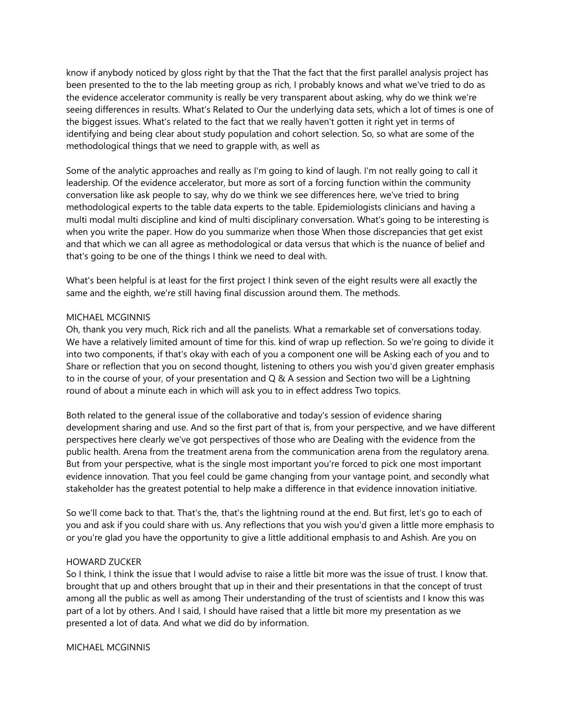know if anybody noticed by gloss right by that the That the fact that the first parallel analysis project has been presented to the to the lab meeting group as rich, I probably knows and what we've tried to do as the evidence accelerator community is really be very transparent about asking, why do we think we're seeing differences in results. What's Related to Our the underlying data sets, which a lot of times is one of the biggest issues. What's related to the fact that we really haven't gotten it right yet in terms of identifying and being clear about study population and cohort selection. So, so what are some of the methodological things that we need to grapple with, as well as

Some of the analytic approaches and really as I'm going to kind of laugh. I'm not really going to call it leadership. Of the evidence accelerator, but more as sort of a forcing function within the community conversation like ask people to say, why do we think we see differences here, we've tried to bring methodological experts to the table data experts to the table. Epidemiologists clinicians and having a multi modal multi discipline and kind of multi disciplinary conversation. What's going to be interesting is when you write the paper. How do you summarize when those When those discrepancies that get exist and that which we can all agree as methodological or data versus that which is the nuance of belief and that's going to be one of the things I think we need to deal with.

What's been helpful is at least for the first project I think seven of the eight results were all exactly the same and the eighth, we're still having final discussion around them. The methods.

### MICHAEL MCGINNIS

Oh, thank you very much, Rick rich and all the panelists. What a remarkable set of conversations today. We have a relatively limited amount of time for this. kind of wrap up reflection. So we're going to divide it into two components, if that's okay with each of you a component one will be Asking each of you and to Share or reflection that you on second thought, listening to others you wish you'd given greater emphasis to in the course of your, of your presentation and Q & A session and Section two will be a Lightning round of about a minute each in which will ask you to in effect address Two topics.

Both related to the general issue of the collaborative and today's session of evidence sharing development sharing and use. And so the first part of that is, from your perspective, and we have different perspectives here clearly we've got perspectives of those who are Dealing with the evidence from the public health. Arena from the treatment arena from the communication arena from the regulatory arena. But from your perspective, what is the single most important you're forced to pick one most important evidence innovation. That you feel could be game changing from your vantage point, and secondly what stakeholder has the greatest potential to help make a difference in that evidence innovation initiative.

So we'll come back to that. That's the, that's the lightning round at the end. But first, let's go to each of you and ask if you could share with us. Any reflections that you wish you'd given a little more emphasis to or you're glad you have the opportunity to give a little additional emphasis to and Ashish. Are you on

### HOWARD ZUCKER

So I think, I think the issue that I would advise to raise a little bit more was the issue of trust. I know that. brought that up and others brought that up in their and their presentations in that the concept of trust among all the public as well as among Their understanding of the trust of scientists and I know this was part of a lot by others. And I said, I should have raised that a little bit more my presentation as we presented a lot of data. And what we did do by information.

MICHAEL MCGINNIS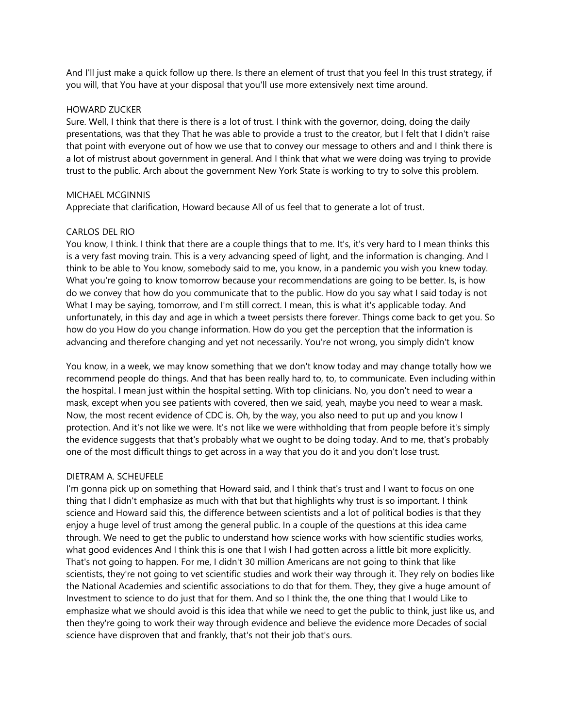And I'll just make a quick follow up there. Is there an element of trust that you feel In this trust strategy, if you will, that You have at your disposal that you'll use more extensively next time around.

#### HOWARD ZUCKER

Sure. Well, I think that there is there is a lot of trust. I think with the governor, doing, doing the daily presentations, was that they That he was able to provide a trust to the creator, but I felt that I didn't raise that point with everyone out of how we use that to convey our message to others and and I think there is a lot of mistrust about government in general. And I think that what we were doing was trying to provide trust to the public. Arch about the government New York State is working to try to solve this problem.

### MICHAEL MCGINNIS

Appreciate that clarification, Howard because All of us feel that to generate a lot of trust.

## CARLOS DEL RIO

You know, I think. I think that there are a couple things that to me. It's, it's very hard to I mean thinks this is a very fast moving train. This is a very advancing speed of light, and the information is changing. And I think to be able to You know, somebody said to me, you know, in a pandemic you wish you knew today. What you're going to know tomorrow because your recommendations are going to be better. Is, is how do we convey that how do you communicate that to the public. How do you say what I said today is not What I may be saying, tomorrow, and I'm still correct. I mean, this is what it's applicable today. And unfortunately, in this day and age in which a tweet persists there forever. Things come back to get you. So how do you How do you change information. How do you get the perception that the information is advancing and therefore changing and yet not necessarily. You're not wrong, you simply didn't know

You know, in a week, we may know something that we don't know today and may change totally how we recommend people do things. And that has been really hard to, to, to communicate. Even including within the hospital. I mean just within the hospital setting. With top clinicians. No, you don't need to wear a mask, except when you see patients with covered, then we said, yeah, maybe you need to wear a mask. Now, the most recent evidence of CDC is. Oh, by the way, you also need to put up and you know I protection. And it's not like we were. It's not like we were withholding that from people before it's simply the evidence suggests that that's probably what we ought to be doing today. And to me, that's probably one of the most difficult things to get across in a way that you do it and you don't lose trust.

### DIETRAM A. SCHEUFELE

I'm gonna pick up on something that Howard said, and I think that's trust and I want to focus on one thing that I didn't emphasize as much with that but that highlights why trust is so important. I think science and Howard said this, the difference between scientists and a lot of political bodies is that they enjoy a huge level of trust among the general public. In a couple of the questions at this idea came through. We need to get the public to understand how science works with how scientific studies works, what good evidences And I think this is one that I wish I had gotten across a little bit more explicitly. That's not going to happen. For me, I didn't 30 million Americans are not going to think that like scientists, they're not going to vet scientific studies and work their way through it. They rely on bodies like the National Academies and scientific associations to do that for them. They, they give a huge amount of Investment to science to do just that for them. And so I think the, the one thing that I would Like to emphasize what we should avoid is this idea that while we need to get the public to think, just like us, and then they're going to work their way through evidence and believe the evidence more Decades of social science have disproven that and frankly, that's not their job that's ours.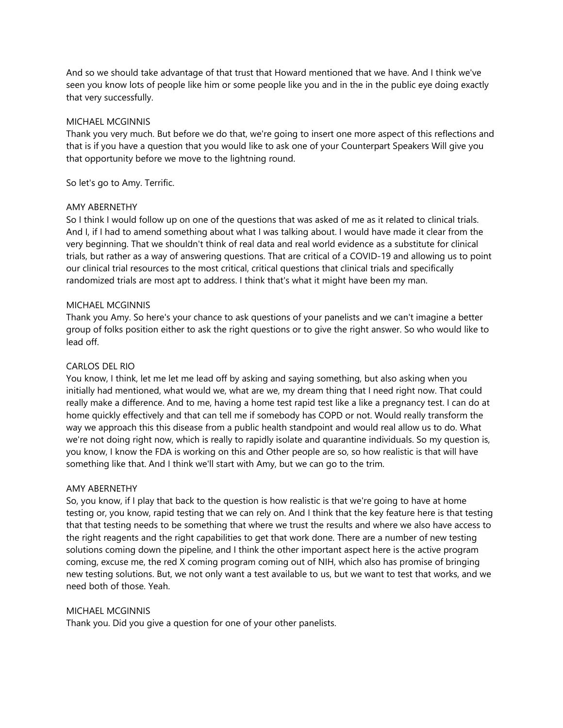And so we should take advantage of that trust that Howard mentioned that we have. And I think we've seen you know lots of people like him or some people like you and in the in the public eye doing exactly that very successfully.

## MICHAEL MCGINNIS

Thank you very much. But before we do that, we're going to insert one more aspect of this reflections and that is if you have a question that you would like to ask one of your Counterpart Speakers Will give you that opportunity before we move to the lightning round.

So let's go to Amy. Terrific.

## AMY ABERNETHY

So I think I would follow up on one of the questions that was asked of me as it related to clinical trials. And I, if I had to amend something about what I was talking about. I would have made it clear from the very beginning. That we shouldn't think of real data and real world evidence as a substitute for clinical trials, but rather as a way of answering questions. That are critical of a COVID-19 and allowing us to point our clinical trial resources to the most critical, critical questions that clinical trials and specifically randomized trials are most apt to address. I think that's what it might have been my man.

## MICHAEL MCGINNIS

Thank you Amy. So here's your chance to ask questions of your panelists and we can't imagine a better group of folks position either to ask the right questions or to give the right answer. So who would like to lead off.

## CARLOS DEL RIO

You know, I think, let me let me lead off by asking and saying something, but also asking when you initially had mentioned, what would we, what are we, my dream thing that I need right now. That could really make a difference. And to me, having a home test rapid test like a like a pregnancy test. I can do at home quickly effectively and that can tell me if somebody has COPD or not. Would really transform the way we approach this this disease from a public health standpoint and would real allow us to do. What we're not doing right now, which is really to rapidly isolate and quarantine individuals. So my question is, you know, I know the FDA is working on this and Other people are so, so how realistic is that will have something like that. And I think we'll start with Amy, but we can go to the trim.

### AMY ABERNETHY

So, you know, if I play that back to the question is how realistic is that we're going to have at home testing or, you know, rapid testing that we can rely on. And I think that the key feature here is that testing that that testing needs to be something that where we trust the results and where we also have access to the right reagents and the right capabilities to get that work done. There are a number of new testing solutions coming down the pipeline, and I think the other important aspect here is the active program coming, excuse me, the red X coming program coming out of NIH, which also has promise of bringing new testing solutions. But, we not only want a test available to us, but we want to test that works, and we need both of those. Yeah.

### MICHAEL MCGINNIS

Thank you. Did you give a question for one of your other panelists.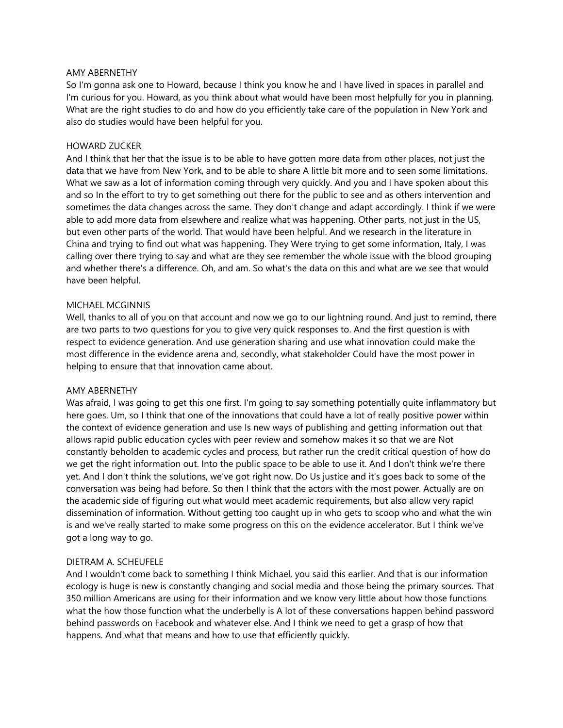#### AMY ABERNETHY

So I'm gonna ask one to Howard, because I think you know he and I have lived in spaces in parallel and I'm curious for you. Howard, as you think about what would have been most helpfully for you in planning. What are the right studies to do and how do you efficiently take care of the population in New York and also do studies would have been helpful for you.

## HOWARD ZUCKER

And I think that her that the issue is to be able to have gotten more data from other places, not just the data that we have from New York, and to be able to share A little bit more and to seen some limitations. What we saw as a lot of information coming through very quickly. And you and I have spoken about this and so In the effort to try to get something out there for the public to see and as others intervention and sometimes the data changes across the same. They don't change and adapt accordingly. I think if we were able to add more data from elsewhere and realize what was happening. Other parts, not just in the US, but even other parts of the world. That would have been helpful. And we research in the literature in China and trying to find out what was happening. They Were trying to get some information, Italy, I was calling over there trying to say and what are they see remember the whole issue with the blood grouping and whether there's a difference. Oh, and am. So what's the data on this and what are we see that would have been helpful.

### MICHAEL MCGINNIS

Well, thanks to all of you on that account and now we go to our lightning round. And just to remind, there are two parts to two questions for you to give very quick responses to. And the first question is with respect to evidence generation. And use generation sharing and use what innovation could make the most difference in the evidence arena and, secondly, what stakeholder Could have the most power in helping to ensure that that innovation came about.

### AMY ABERNETHY

Was afraid, I was going to get this one first. I'm going to say something potentially quite inflammatory but here goes. Um, so I think that one of the innovations that could have a lot of really positive power within the context of evidence generation and use Is new ways of publishing and getting information out that allows rapid public education cycles with peer review and somehow makes it so that we are Not constantly beholden to academic cycles and process, but rather run the credit critical question of how do we get the right information out. Into the public space to be able to use it. And I don't think we're there yet. And I don't think the solutions, we've got right now. Do Us justice and it's goes back to some of the conversation was being had before. So then I think that the actors with the most power. Actually are on the academic side of figuring out what would meet academic requirements, but also allow very rapid dissemination of information. Without getting too caught up in who gets to scoop who and what the win is and we've really started to make some progress on this on the evidence accelerator. But I think we've got a long way to go.

## DIETRAM A. SCHEUFELE

And I wouldn't come back to something I think Michael, you said this earlier. And that is our information ecology is huge is new is constantly changing and social media and those being the primary sources. That 350 million Americans are using for their information and we know very little about how those functions what the how those function what the underbelly is A lot of these conversations happen behind password behind passwords on Facebook and whatever else. And I think we need to get a grasp of how that happens. And what that means and how to use that efficiently quickly.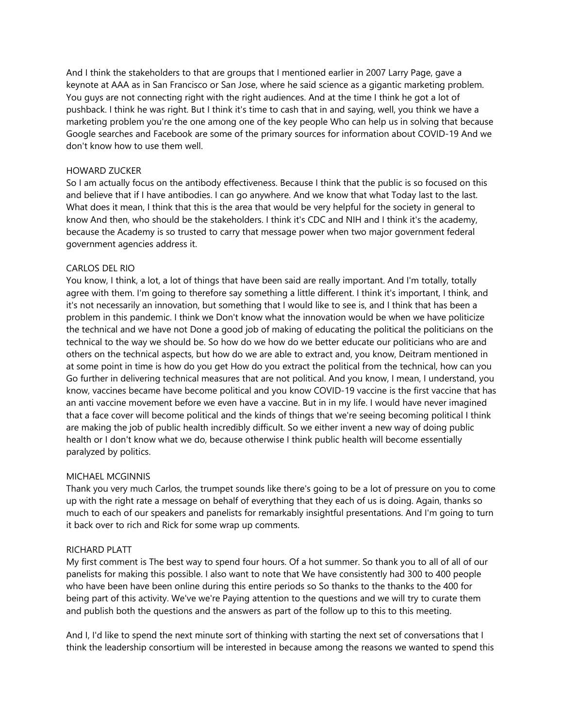And I think the stakeholders to that are groups that I mentioned earlier in 2007 Larry Page, gave a keynote at AAA as in San Francisco or San Jose, where he said science as a gigantic marketing problem. You guys are not connecting right with the right audiences. And at the time I think he got a lot of pushback. I think he was right. But I think it's time to cash that in and saying, well, you think we have a marketing problem you're the one among one of the key people Who can help us in solving that because Google searches and Facebook are some of the primary sources for information about COVID-19 And we don't know how to use them well.

### HOWARD ZUCKER

So I am actually focus on the antibody effectiveness. Because I think that the public is so focused on this and believe that if I have antibodies. I can go anywhere. And we know that what Today last to the last. What does it mean, I think that this is the area that would be very helpful for the society in general to know And then, who should be the stakeholders. I think it's CDC and NIH and I think it's the academy, because the Academy is so trusted to carry that message power when two major government federal government agencies address it.

# CARLOS DEL RIO

You know, I think, a lot, a lot of things that have been said are really important. And I'm totally, totally agree with them. I'm going to therefore say something a little different. I think it's important, I think, and it's not necessarily an innovation, but something that I would like to see is, and I think that has been a problem in this pandemic. I think we Don't know what the innovation would be when we have politicize the technical and we have not Done a good job of making of educating the political the politicians on the technical to the way we should be. So how do we how do we better educate our politicians who are and others on the technical aspects, but how do we are able to extract and, you know, Deitram mentioned in at some point in time is how do you get How do you extract the political from the technical, how can you Go further in delivering technical measures that are not political. And you know, I mean, I understand, you know, vaccines became have become political and you know COVID-19 vaccine is the first vaccine that has an anti vaccine movement before we even have a vaccine. But in in my life. I would have never imagined that a face cover will become political and the kinds of things that we're seeing becoming political I think are making the job of public health incredibly difficult. So we either invent a new way of doing public health or I don't know what we do, because otherwise I think public health will become essentially paralyzed by politics.

# MICHAEL MCGINNIS

Thank you very much Carlos, the trumpet sounds like there's going to be a lot of pressure on you to come up with the right rate a message on behalf of everything that they each of us is doing. Again, thanks so much to each of our speakers and panelists for remarkably insightful presentations. And I'm going to turn it back over to rich and Rick for some wrap up comments.

### RICHARD PLATT

My first comment is The best way to spend four hours. Of a hot summer. So thank you to all of all of our panelists for making this possible. I also want to note that We have consistently had 300 to 400 people who have been have been online during this entire periods so So thanks to the thanks to the 400 for being part of this activity. We've we're Paying attention to the questions and we will try to curate them and publish both the questions and the answers as part of the follow up to this to this meeting.

And I, I'd like to spend the next minute sort of thinking with starting the next set of conversations that I think the leadership consortium will be interested in because among the reasons we wanted to spend this